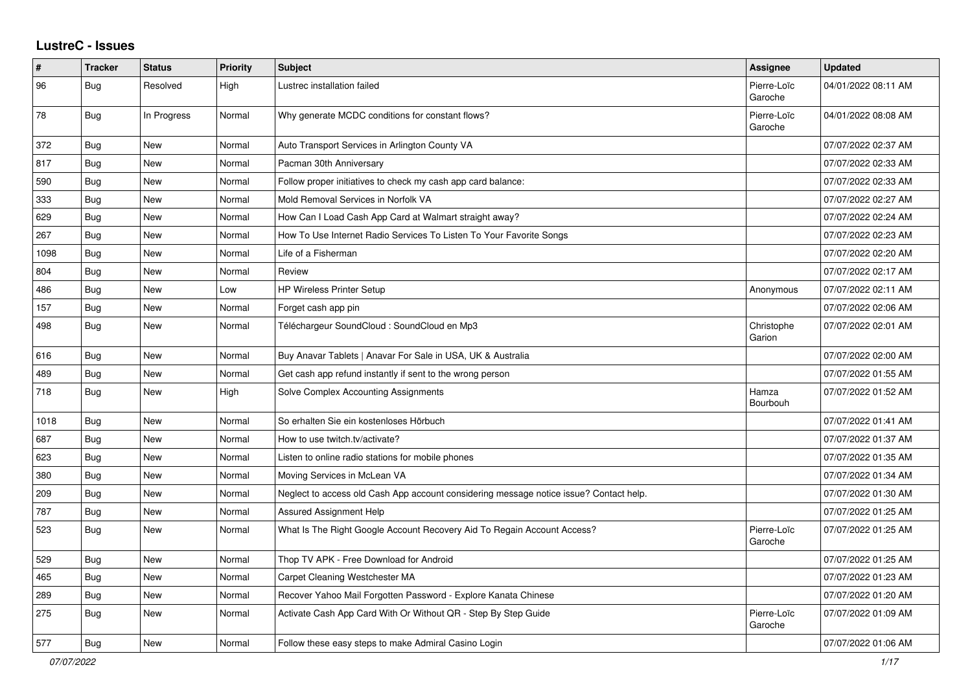## **LustreC - Issues**

| #    | <b>Tracker</b> | <b>Status</b> | <b>Priority</b> | <b>Subject</b>                                                                         | Assignee               | <b>Updated</b>      |
|------|----------------|---------------|-----------------|----------------------------------------------------------------------------------------|------------------------|---------------------|
| 96   | Bug            | Resolved      | High            | Lustrec installation failed                                                            | Pierre-Loïc<br>Garoche | 04/01/2022 08:11 AM |
| 78   | <b>Bug</b>     | In Progress   | Normal          | Why generate MCDC conditions for constant flows?                                       | Pierre-Loïc<br>Garoche | 04/01/2022 08:08 AM |
| 372  | Bug            | <b>New</b>    | Normal          | Auto Transport Services in Arlington County VA                                         |                        | 07/07/2022 02:37 AM |
| 817  | Bug            | <b>New</b>    | Normal          | Pacman 30th Anniversary                                                                |                        | 07/07/2022 02:33 AM |
| 590  | <b>Bug</b>     | <b>New</b>    | Normal          | Follow proper initiatives to check my cash app card balance:                           |                        | 07/07/2022 02:33 AM |
| 333  | Bug            | <b>New</b>    | Normal          | Mold Removal Services in Norfolk VA                                                    |                        | 07/07/2022 02:27 AM |
| 629  | Bug            | New           | Normal          | How Can I Load Cash App Card at Walmart straight away?                                 |                        | 07/07/2022 02:24 AM |
| 267  | Bug            | <b>New</b>    | Normal          | How To Use Internet Radio Services To Listen To Your Favorite Songs                    |                        | 07/07/2022 02:23 AM |
| 1098 | Bug            | <b>New</b>    | Normal          | Life of a Fisherman                                                                    |                        | 07/07/2022 02:20 AM |
| 804  | Bug            | <b>New</b>    | Normal          | Review                                                                                 |                        | 07/07/2022 02:17 AM |
| 486  | Bug            | <b>New</b>    | Low             | <b>HP Wireless Printer Setup</b>                                                       | Anonymous              | 07/07/2022 02:11 AM |
| 157  | <b>Bug</b>     | <b>New</b>    | Normal          | Forget cash app pin                                                                    |                        | 07/07/2022 02:06 AM |
| 498  | <b>Bug</b>     | <b>New</b>    | Normal          | Téléchargeur SoundCloud : SoundCloud en Mp3                                            | Christophe<br>Garion   | 07/07/2022 02:01 AM |
| 616  | Bug            | <b>New</b>    | Normal          | Buy Anavar Tablets   Anavar For Sale in USA, UK & Australia                            |                        | 07/07/2022 02:00 AM |
| 489  | Bug            | <b>New</b>    | Normal          | Get cash app refund instantly if sent to the wrong person                              |                        | 07/07/2022 01:55 AM |
| 718  | <b>Bug</b>     | <b>New</b>    | High            | Solve Complex Accounting Assignments                                                   | Hamza<br>Bourbouh      | 07/07/2022 01:52 AM |
| 1018 | Bug            | <b>New</b>    | Normal          | So erhalten Sie ein kostenloses Hörbuch                                                |                        | 07/07/2022 01:41 AM |
| 687  | Bug            | <b>New</b>    | Normal          | How to use twitch.tv/activate?                                                         |                        | 07/07/2022 01:37 AM |
| 623  | Bug            | New           | Normal          | Listen to online radio stations for mobile phones                                      |                        | 07/07/2022 01:35 AM |
| 380  | Bug            | <b>New</b>    | Normal          | Moving Services in McLean VA                                                           |                        | 07/07/2022 01:34 AM |
| 209  | Bug            | <b>New</b>    | Normal          | Neglect to access old Cash App account considering message notice issue? Contact help. |                        | 07/07/2022 01:30 AM |
| 787  | Bug            | <b>New</b>    | Normal          | Assured Assignment Help                                                                |                        | 07/07/2022 01:25 AM |
| 523  | Bug            | New           | Normal          | What Is The Right Google Account Recovery Aid To Regain Account Access?                | Pierre-Loïc<br>Garoche | 07/07/2022 01:25 AM |
| 529  | Bug            | <b>New</b>    | Normal          | Thop TV APK - Free Download for Android                                                |                        | 07/07/2022 01:25 AM |
| 465  | Bug            | <b>New</b>    | Normal          | Carpet Cleaning Westchester MA                                                         |                        | 07/07/2022 01:23 AM |
| 289  | <b>Bug</b>     | <b>New</b>    | Normal          | Recover Yahoo Mail Forgotten Password - Explore Kanata Chinese                         |                        | 07/07/2022 01:20 AM |
| 275  | Bug            | <b>New</b>    | Normal          | Activate Cash App Card With Or Without QR - Step By Step Guide                         | Pierre-Loïc<br>Garoche | 07/07/2022 01:09 AM |
| 577  | Bug            | <b>New</b>    | Normal          | Follow these easy steps to make Admiral Casino Login                                   |                        | 07/07/2022 01:06 AM |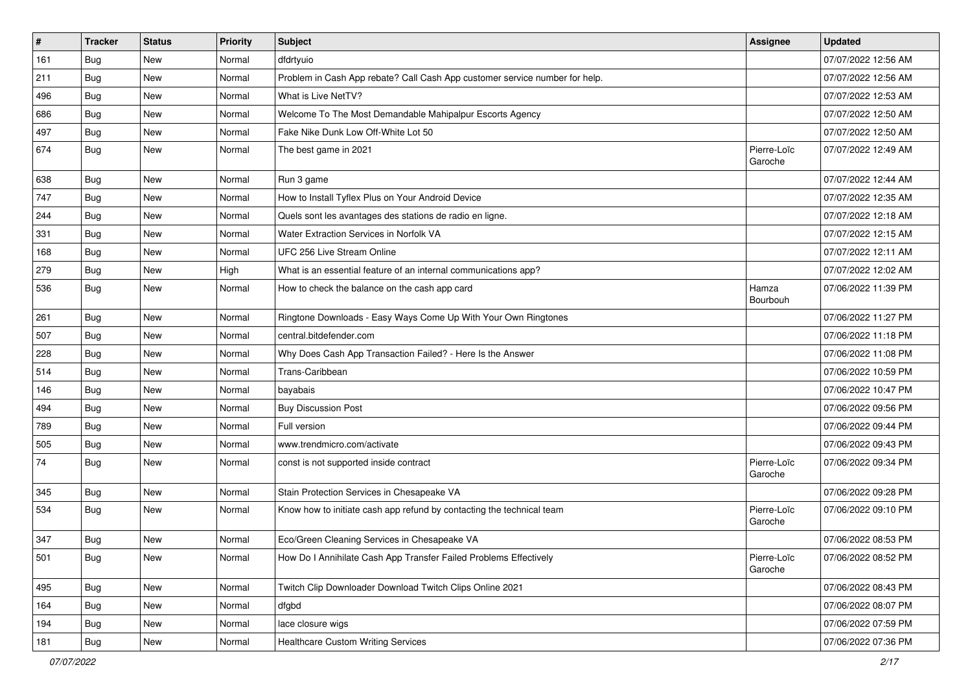| $\sharp$ | <b>Tracker</b> | <b>Status</b> | Priority | <b>Subject</b>                                                              | <b>Assignee</b>        | <b>Updated</b>      |
|----------|----------------|---------------|----------|-----------------------------------------------------------------------------|------------------------|---------------------|
| 161      | <b>Bug</b>     | New           | Normal   | dfdrtyuio                                                                   |                        | 07/07/2022 12:56 AM |
| 211      | Bug            | New           | Normal   | Problem in Cash App rebate? Call Cash App customer service number for help. |                        | 07/07/2022 12:56 AM |
| 496      | Bug            | New           | Normal   | What is Live NetTV?                                                         |                        | 07/07/2022 12:53 AM |
| 686      | Bug            | New           | Normal   | Welcome To The Most Demandable Mahipalpur Escorts Agency                    |                        | 07/07/2022 12:50 AM |
| 497      | Bug            | New           | Normal   | Fake Nike Dunk Low Off-White Lot 50                                         |                        | 07/07/2022 12:50 AM |
| 674      | Bug            | New           | Normal   | The best game in 2021                                                       | Pierre-Loïc<br>Garoche | 07/07/2022 12:49 AM |
| 638      | Bug            | <b>New</b>    | Normal   | Run 3 game                                                                  |                        | 07/07/2022 12:44 AM |
| 747      | Bug            | New           | Normal   | How to Install Tyflex Plus on Your Android Device                           |                        | 07/07/2022 12:35 AM |
| 244      | Bug            | <b>New</b>    | Normal   | Quels sont les avantages des stations de radio en ligne.                    |                        | 07/07/2022 12:18 AM |
| 331      | Bug            | New           | Normal   | Water Extraction Services in Norfolk VA                                     |                        | 07/07/2022 12:15 AM |
| 168      | Bug            | New           | Normal   | UFC 256 Live Stream Online                                                  |                        | 07/07/2022 12:11 AM |
| 279      | Bug            | New           | High     | What is an essential feature of an internal communications app?             |                        | 07/07/2022 12:02 AM |
| 536      | Bug            | New           | Normal   | How to check the balance on the cash app card                               | Hamza<br>Bourbouh      | 07/06/2022 11:39 PM |
| 261      | Bug            | <b>New</b>    | Normal   | Ringtone Downloads - Easy Ways Come Up With Your Own Ringtones              |                        | 07/06/2022 11:27 PM |
| 507      | Bug            | New           | Normal   | central.bitdefender.com                                                     |                        | 07/06/2022 11:18 PM |
| 228      | Bug            | New           | Normal   | Why Does Cash App Transaction Failed? - Here Is the Answer                  |                        | 07/06/2022 11:08 PM |
| 514      | <b>Bug</b>     | <b>New</b>    | Normal   | Trans-Caribbean                                                             |                        | 07/06/2022 10:59 PM |
| 146      | Bug            | New           | Normal   | bayabais                                                                    |                        | 07/06/2022 10:47 PM |
| 494      | Bug            | <b>New</b>    | Normal   | <b>Buy Discussion Post</b>                                                  |                        | 07/06/2022 09:56 PM |
| 789      | Bug            | New           | Normal   | Full version                                                                |                        | 07/06/2022 09:44 PM |
| 505      | Bug            | <b>New</b>    | Normal   | www.trendmicro.com/activate                                                 |                        | 07/06/2022 09:43 PM |
| 74       | Bug            | New           | Normal   | const is not supported inside contract                                      | Pierre-Loïc<br>Garoche | 07/06/2022 09:34 PM |
| 345      | Bug            | New           | Normal   | Stain Protection Services in Chesapeake VA                                  |                        | 07/06/2022 09:28 PM |
| 534      | Bug            | New           | Normal   | Know how to initiate cash app refund by contacting the technical team       | Pierre-Loïc<br>Garoche | 07/06/2022 09:10 PM |
| 347      | Bug            | New           | Normal   | Eco/Green Cleaning Services in Chesapeake VA                                |                        | 07/06/2022 08:53 PM |
| 501      | <b>Bug</b>     | New           | Normal   | How Do I Annihilate Cash App Transfer Failed Problems Effectively           | Pierre-Loïc<br>Garoche | 07/06/2022 08:52 PM |
| 495      | Bug            | New           | Normal   | Twitch Clip Downloader Download Twitch Clips Online 2021                    |                        | 07/06/2022 08:43 PM |
| 164      | <b>Bug</b>     | New           | Normal   | dfgbd                                                                       |                        | 07/06/2022 08:07 PM |
| 194      | <b>Bug</b>     | New           | Normal   | lace closure wigs                                                           |                        | 07/06/2022 07:59 PM |
| 181      | Bug            | New           | Normal   | <b>Healthcare Custom Writing Services</b>                                   |                        | 07/06/2022 07:36 PM |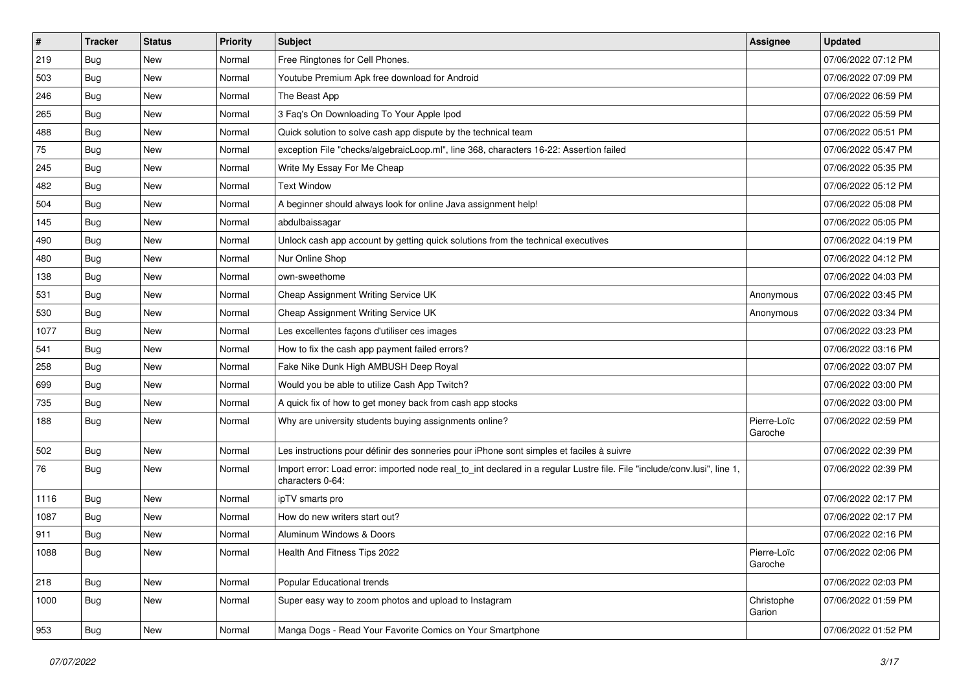| $\pmb{\sharp}$ | <b>Tracker</b> | <b>Status</b> | <b>Priority</b> | <b>Subject</b>                                                                                                                               | <b>Assignee</b>        | <b>Updated</b>      |
|----------------|----------------|---------------|-----------------|----------------------------------------------------------------------------------------------------------------------------------------------|------------------------|---------------------|
| 219            | Bug            | New           | Normal          | Free Ringtones for Cell Phones.                                                                                                              |                        | 07/06/2022 07:12 PM |
| 503            | <b>Bug</b>     | New           | Normal          | Youtube Premium Apk free download for Android                                                                                                |                        | 07/06/2022 07:09 PM |
| 246            | Bug            | New           | Normal          | The Beast App                                                                                                                                |                        | 07/06/2022 06:59 PM |
| 265            | Bug            | New           | Normal          | 3 Faq's On Downloading To Your Apple Ipod                                                                                                    |                        | 07/06/2022 05:59 PM |
| 488            | <b>Bug</b>     | New           | Normal          | Quick solution to solve cash app dispute by the technical team                                                                               |                        | 07/06/2022 05:51 PM |
| 75             | <b>Bug</b>     | New           | Normal          | exception File "checks/algebraicLoop.ml", line 368, characters 16-22: Assertion failed                                                       |                        | 07/06/2022 05:47 PM |
| 245            | Bug            | New           | Normal          | Write My Essay For Me Cheap                                                                                                                  |                        | 07/06/2022 05:35 PM |
| 482            | <b>Bug</b>     | New           | Normal          | <b>Text Window</b>                                                                                                                           |                        | 07/06/2022 05:12 PM |
| 504            | <b>Bug</b>     | New           | Normal          | A beginner should always look for online Java assignment help!                                                                               |                        | 07/06/2022 05:08 PM |
| 145            | <b>Bug</b>     | New           | Normal          | abdulbaissagar                                                                                                                               |                        | 07/06/2022 05:05 PM |
| 490            | <b>Bug</b>     | New           | Normal          | Unlock cash app account by getting quick solutions from the technical executives                                                             |                        | 07/06/2022 04:19 PM |
| 480            | <b>Bug</b>     | New           | Normal          | Nur Online Shop                                                                                                                              |                        | 07/06/2022 04:12 PM |
| 138            | <b>Bug</b>     | New           | Normal          | own-sweethome                                                                                                                                |                        | 07/06/2022 04:03 PM |
| 531            | Bug            | New           | Normal          | Cheap Assignment Writing Service UK                                                                                                          | Anonymous              | 07/06/2022 03:45 PM |
| 530            | <b>Bug</b>     | New           | Normal          | Cheap Assignment Writing Service UK                                                                                                          | Anonymous              | 07/06/2022 03:34 PM |
| 1077           | <b>Bug</b>     | New           | Normal          | Les excellentes façons d'utiliser ces images                                                                                                 |                        | 07/06/2022 03:23 PM |
| 541            | <b>Bug</b>     | New           | Normal          | How to fix the cash app payment failed errors?                                                                                               |                        | 07/06/2022 03:16 PM |
| 258            | <b>Bug</b>     | <b>New</b>    | Normal          | Fake Nike Dunk High AMBUSH Deep Royal                                                                                                        |                        | 07/06/2022 03:07 PM |
| 699            | Bug            | New           | Normal          | Would you be able to utilize Cash App Twitch?                                                                                                |                        | 07/06/2022 03:00 PM |
| 735            | <b>Bug</b>     | New           | Normal          | A quick fix of how to get money back from cash app stocks                                                                                    |                        | 07/06/2022 03:00 PM |
| 188            | <b>Bug</b>     | New           | Normal          | Why are university students buying assignments online?                                                                                       | Pierre-Loïc<br>Garoche | 07/06/2022 02:59 PM |
| 502            | Bug            | New           | Normal          | Les instructions pour définir des sonneries pour iPhone sont simples et faciles à suivre                                                     |                        | 07/06/2022 02:39 PM |
| 76             | <b>Bug</b>     | New           | Normal          | Import error: Load error: imported node real_to_int declared in a regular Lustre file. File "include/conv.lusi", line 1,<br>characters 0-64: |                        | 07/06/2022 02:39 PM |
| 1116           | <b>Bug</b>     | New           | Normal          | ipTV smarts pro                                                                                                                              |                        | 07/06/2022 02:17 PM |
| 1087           | <b>Bug</b>     | New           | Normal          | How do new writers start out?                                                                                                                |                        | 07/06/2022 02:17 PM |
| 911            | Bug            | New           | Normal          | Aluminum Windows & Doors                                                                                                                     |                        | 07/06/2022 02:16 PM |
| 1088           | <b>Bug</b>     | New           | Normal          | Health And Fitness Tips 2022                                                                                                                 | Pierre-Loïc<br>Garoche | 07/06/2022 02:06 PM |
| 218            | Bug            | New           | Normal          | Popular Educational trends                                                                                                                   |                        | 07/06/2022 02:03 PM |
| 1000           | Bug            | New           | Normal          | Super easy way to zoom photos and upload to Instagram                                                                                        | Christophe<br>Garion   | 07/06/2022 01:59 PM |
| 953            | <b>Bug</b>     | New           | Normal          | Manga Dogs - Read Your Favorite Comics on Your Smartphone                                                                                    |                        | 07/06/2022 01:52 PM |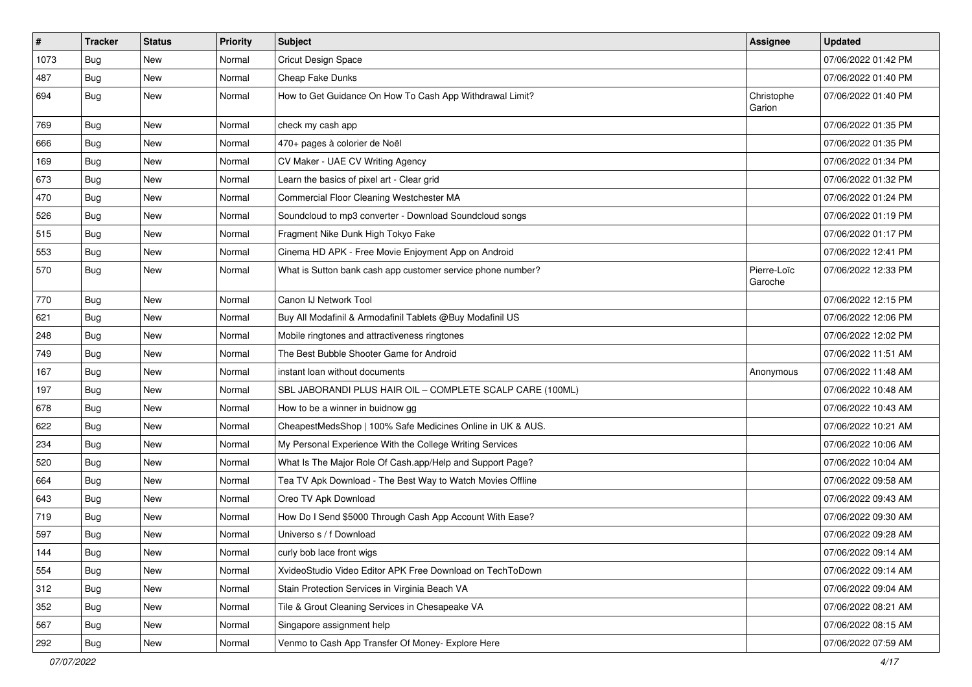| $\vert$ # | Tracker    | <b>Status</b> | <b>Priority</b> | Subject                                                     | Assignee               | <b>Updated</b>      |
|-----------|------------|---------------|-----------------|-------------------------------------------------------------|------------------------|---------------------|
| 1073      | Bug        | New           | Normal          | Cricut Design Space                                         |                        | 07/06/2022 01:42 PM |
| 487       | Bug        | New           | Normal          | Cheap Fake Dunks                                            |                        | 07/06/2022 01:40 PM |
| 694       | Bug        | New           | Normal          | How to Get Guidance On How To Cash App Withdrawal Limit?    | Christophe<br>Garion   | 07/06/2022 01:40 PM |
| 769       | Bug        | New           | Normal          | check my cash app                                           |                        | 07/06/2022 01:35 PM |
| 666       | <b>Bug</b> | New           | Normal          | 470+ pages à colorier de Noël                               |                        | 07/06/2022 01:35 PM |
| 169       | Bug        | New           | Normal          | CV Maker - UAE CV Writing Agency                            |                        | 07/06/2022 01:34 PM |
| 673       | Bug        | <b>New</b>    | Normal          | Learn the basics of pixel art - Clear grid                  |                        | 07/06/2022 01:32 PM |
| 470       | Bug        | New           | Normal          | Commercial Floor Cleaning Westchester MA                    |                        | 07/06/2022 01:24 PM |
| 526       | Bug        | <b>New</b>    | Normal          | Soundcloud to mp3 converter - Download Soundcloud songs     |                        | 07/06/2022 01:19 PM |
| 515       | Bug        | New           | Normal          | Fragment Nike Dunk High Tokyo Fake                          |                        | 07/06/2022 01:17 PM |
| 553       | Bug        | New           | Normal          | Cinema HD APK - Free Movie Enjoyment App on Android         |                        | 07/06/2022 12:41 PM |
| 570       | <b>Bug</b> | New           | Normal          | What is Sutton bank cash app customer service phone number? | Pierre-Loïc<br>Garoche | 07/06/2022 12:33 PM |
| 770       | Bug        | New           | Normal          | Canon IJ Network Tool                                       |                        | 07/06/2022 12:15 PM |
| 621       | Bug        | <b>New</b>    | Normal          | Buy All Modafinil & Armodafinil Tablets @Buy Modafinil US   |                        | 07/06/2022 12:06 PM |
| 248       | Bug        | New           | Normal          | Mobile ringtones and attractiveness ringtones               |                        | 07/06/2022 12:02 PM |
| 749       | Bug        | New           | Normal          | The Best Bubble Shooter Game for Android                    |                        | 07/06/2022 11:51 AM |
| 167       | Bug        | New           | Normal          | instant loan without documents                              | Anonymous              | 07/06/2022 11:48 AM |
| 197       | Bug        | New           | Normal          | SBL JABORANDI PLUS HAIR OIL - COMPLETE SCALP CARE (100ML)   |                        | 07/06/2022 10:48 AM |
| 678       | Bug        | New           | Normal          | How to be a winner in buidnow gg                            |                        | 07/06/2022 10:43 AM |
| 622       | Bug        | New           | Normal          | CheapestMedsShop   100% Safe Medicines Online in UK & AUS.  |                        | 07/06/2022 10:21 AM |
| 234       | Bug        | <b>New</b>    | Normal          | My Personal Experience With the College Writing Services    |                        | 07/06/2022 10:06 AM |
| 520       | Bug        | New           | Normal          | What Is The Major Role Of Cash.app/Help and Support Page?   |                        | 07/06/2022 10:04 AM |
| 664       | Bug        | New           | Normal          | Tea TV Apk Download - The Best Way to Watch Movies Offline  |                        | 07/06/2022 09:58 AM |
| 643       | Bug        | New           | Normal          | Oreo TV Apk Download                                        |                        | 07/06/2022 09:43 AM |
| 719       | <b>Bug</b> | New           | Normal          | How Do I Send \$5000 Through Cash App Account With Ease?    |                        | 07/06/2022 09:30 AM |
| 597       | <b>Bug</b> | New           | Normal          | Universo s / f Download                                     |                        | 07/06/2022 09:28 AM |
| 144       | Bug        | New           | Normal          | curly bob lace front wigs                                   |                        | 07/06/2022 09:14 AM |
| 554       | Bug        | New           | Normal          | XvideoStudio Video Editor APK Free Download on TechToDown   |                        | 07/06/2022 09:14 AM |
| 312       | Bug        | New           | Normal          | Stain Protection Services in Virginia Beach VA              |                        | 07/06/2022 09:04 AM |
| 352       | Bug        | New           | Normal          | Tile & Grout Cleaning Services in Chesapeake VA             |                        | 07/06/2022 08:21 AM |
| 567       | Bug        | New           | Normal          | Singapore assignment help                                   |                        | 07/06/2022 08:15 AM |
| 292       | Bug        | New           | Normal          | Venmo to Cash App Transfer Of Money- Explore Here           |                        | 07/06/2022 07:59 AM |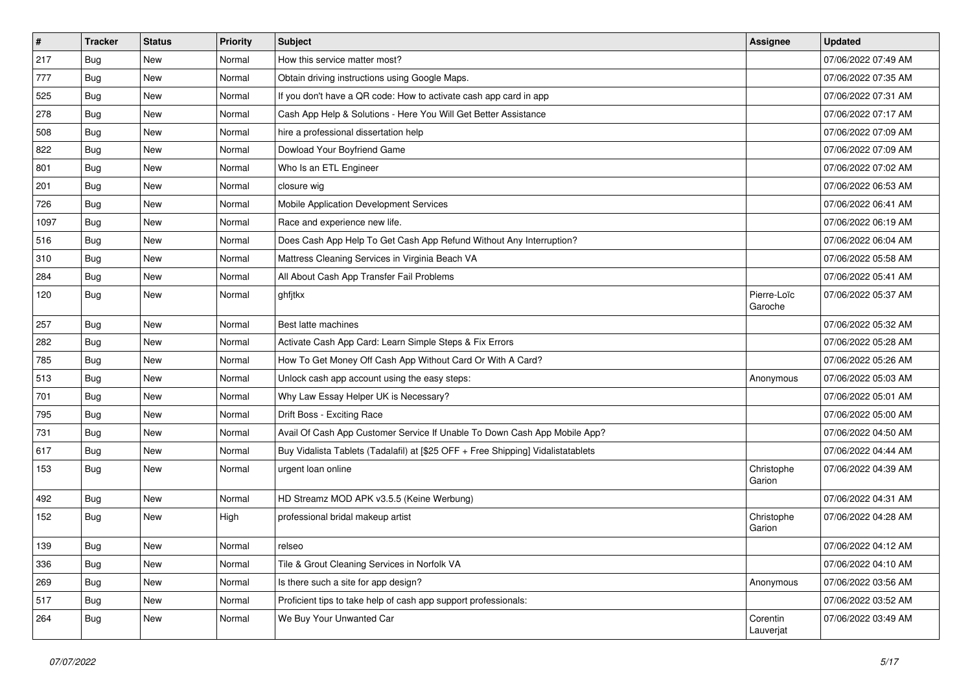| $\vert$ # | <b>Tracker</b> | <b>Status</b> | <b>Priority</b> | <b>Subject</b>                                                                   | Assignee               | <b>Updated</b>      |
|-----------|----------------|---------------|-----------------|----------------------------------------------------------------------------------|------------------------|---------------------|
| 217       | Bug            | New           | Normal          | How this service matter most?                                                    |                        | 07/06/2022 07:49 AM |
| 777       | Bug            | New           | Normal          | Obtain driving instructions using Google Maps.                                   |                        | 07/06/2022 07:35 AM |
| 525       | Bug            | New           | Normal          | If you don't have a QR code: How to activate cash app card in app                |                        | 07/06/2022 07:31 AM |
| 278       | Bug            | New           | Normal          | Cash App Help & Solutions - Here You Will Get Better Assistance                  |                        | 07/06/2022 07:17 AM |
| 508       | Bug            | New           | Normal          | hire a professional dissertation help                                            |                        | 07/06/2022 07:09 AM |
| 822       | Bug            | New           | Normal          | Dowload Your Boyfriend Game                                                      |                        | 07/06/2022 07:09 AM |
| 801       | Bug            | New           | Normal          | Who Is an ETL Engineer                                                           |                        | 07/06/2022 07:02 AM |
| 201       | Bug            | New           | Normal          | closure wig                                                                      |                        | 07/06/2022 06:53 AM |
| 726       | Bug            | New           | Normal          | Mobile Application Development Services                                          |                        | 07/06/2022 06:41 AM |
| 1097      | Bug            | New           | Normal          | Race and experience new life.                                                    |                        | 07/06/2022 06:19 AM |
| 516       | Bug            | New           | Normal          | Does Cash App Help To Get Cash App Refund Without Any Interruption?              |                        | 07/06/2022 06:04 AM |
| 310       | Bug            | New           | Normal          | Mattress Cleaning Services in Virginia Beach VA                                  |                        | 07/06/2022 05:58 AM |
| 284       | Bug            | <b>New</b>    | Normal          | All About Cash App Transfer Fail Problems                                        |                        | 07/06/2022 05:41 AM |
| 120       | <b>Bug</b>     | New           | Normal          | ghfjtkx                                                                          | Pierre-Loïc<br>Garoche | 07/06/2022 05:37 AM |
| 257       | Bug            | New           | Normal          | Best latte machines                                                              |                        | 07/06/2022 05:32 AM |
| 282       | Bug            | New           | Normal          | Activate Cash App Card: Learn Simple Steps & Fix Errors                          |                        | 07/06/2022 05:28 AM |
| 785       | Bug            | New           | Normal          | How To Get Money Off Cash App Without Card Or With A Card?                       |                        | 07/06/2022 05:26 AM |
| 513       | <b>Bug</b>     | New           | Normal          | Unlock cash app account using the easy steps:                                    | Anonymous              | 07/06/2022 05:03 AM |
| 701       | Bug            | New           | Normal          | Why Law Essay Helper UK is Necessary?                                            |                        | 07/06/2022 05:01 AM |
| 795       | Bug            | <b>New</b>    | Normal          | Drift Boss - Exciting Race                                                       |                        | 07/06/2022 05:00 AM |
| 731       | Bug            | New           | Normal          | Avail Of Cash App Customer Service If Unable To Down Cash App Mobile App?        |                        | 07/06/2022 04:50 AM |
| 617       | Bug            | New           | Normal          | Buy Vidalista Tablets (Tadalafil) at [\$25 OFF + Free Shipping] Vidalistatablets |                        | 07/06/2022 04:44 AM |
| 153       | Bug            | New           | Normal          | urgent loan online                                                               | Christophe<br>Garion   | 07/06/2022 04:39 AM |
| 492       | Bug            | New           | Normal          | HD Streamz MOD APK v3.5.5 (Keine Werbung)                                        |                        | 07/06/2022 04:31 AM |
| 152       | <b>Bug</b>     | New           | High            | professional bridal makeup artist                                                | Christophe<br>Garion   | 07/06/2022 04:28 AM |
| 139       | Bug            | New           | Normal          | relseo                                                                           |                        | 07/06/2022 04:12 AM |
| 336       | Bug            | New           | Normal          | Tile & Grout Cleaning Services in Norfolk VA                                     |                        | 07/06/2022 04:10 AM |
| 269       | Bug            | New           | Normal          | Is there such a site for app design?                                             | Anonymous              | 07/06/2022 03:56 AM |
| 517       | Bug            | New           | Normal          | Proficient tips to take help of cash app support professionals:                  |                        | 07/06/2022 03:52 AM |
| 264       | Bug            | New           | Normal          | We Buy Your Unwanted Car                                                         | Corentin<br>Lauverjat  | 07/06/2022 03:49 AM |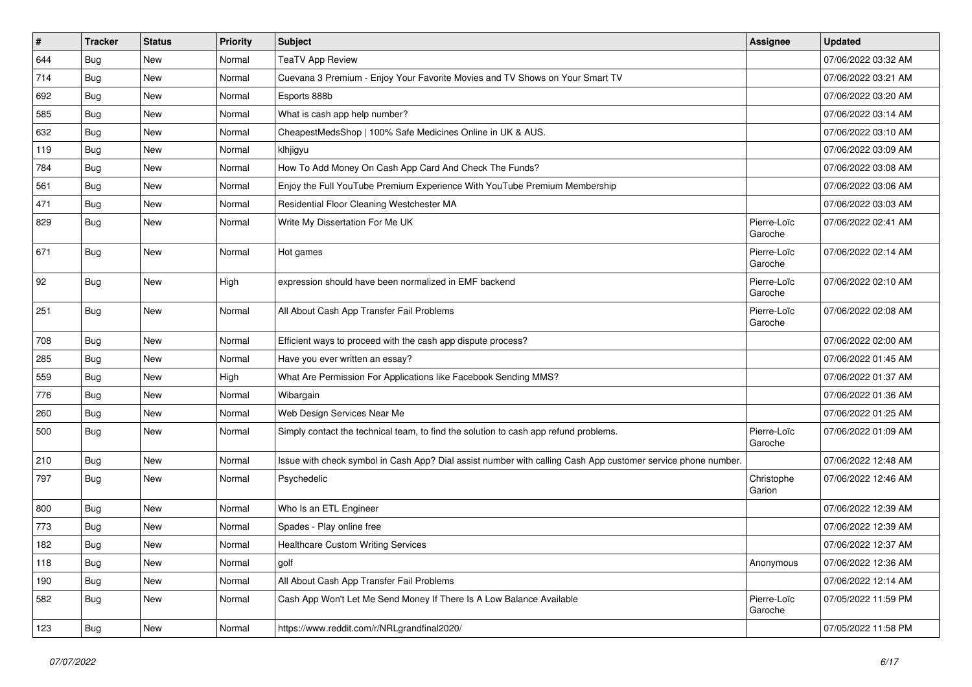| $\vert$ # | <b>Tracker</b> | <b>Status</b> | <b>Priority</b> | <b>Subject</b>                                                                                               | <b>Assignee</b>        | <b>Updated</b>      |
|-----------|----------------|---------------|-----------------|--------------------------------------------------------------------------------------------------------------|------------------------|---------------------|
| 644       | Bug            | New           | Normal          | <b>TeaTV App Review</b>                                                                                      |                        | 07/06/2022 03:32 AM |
| 714       | <b>Bug</b>     | New           | Normal          | Cuevana 3 Premium - Enjoy Your Favorite Movies and TV Shows on Your Smart TV                                 |                        | 07/06/2022 03:21 AM |
| 692       | <b>Bug</b>     | New           | Normal          | Esports 888b                                                                                                 |                        | 07/06/2022 03:20 AM |
| 585       | Bug            | New           | Normal          | What is cash app help number?                                                                                |                        | 07/06/2022 03:14 AM |
| 632       | Bug            | New           | Normal          | CheapestMedsShop   100% Safe Medicines Online in UK & AUS.                                                   |                        | 07/06/2022 03:10 AM |
| 119       | Bug            | New           | Normal          | klhjigyu                                                                                                     |                        | 07/06/2022 03:09 AM |
| 784       | Bug            | New           | Normal          | How To Add Money On Cash App Card And Check The Funds?                                                       |                        | 07/06/2022 03:08 AM |
| 561       | <b>Bug</b>     | New           | Normal          | Enjoy the Full YouTube Premium Experience With YouTube Premium Membership                                    |                        | 07/06/2022 03:06 AM |
| 471       | Bug            | New           | Normal          | Residential Floor Cleaning Westchester MA                                                                    |                        | 07/06/2022 03:03 AM |
| 829       | Bug            | New           | Normal          | Write My Dissertation For Me UK                                                                              | Pierre-Loïc<br>Garoche | 07/06/2022 02:41 AM |
| 671       | <b>Bug</b>     | New           | Normal          | Hot games                                                                                                    | Pierre-Loïc<br>Garoche | 07/06/2022 02:14 AM |
| 92        | <b>Bug</b>     | New           | High            | expression should have been normalized in EMF backend                                                        | Pierre-Loïc<br>Garoche | 07/06/2022 02:10 AM |
| 251       | Bug            | New           | Normal          | All About Cash App Transfer Fail Problems                                                                    | Pierre-Loïc<br>Garoche | 07/06/2022 02:08 AM |
| 708       | Bug            | New           | Normal          | Efficient ways to proceed with the cash app dispute process?                                                 |                        | 07/06/2022 02:00 AM |
| 285       | Bug            | New           | Normal          | Have you ever written an essay?                                                                              |                        | 07/06/2022 01:45 AM |
| 559       | <b>Bug</b>     | New           | High            | What Are Permission For Applications like Facebook Sending MMS?                                              |                        | 07/06/2022 01:37 AM |
| 776       | Bug            | New           | Normal          | Wibargain                                                                                                    |                        | 07/06/2022 01:36 AM |
| 260       | <b>Bug</b>     | New           | Normal          | Web Design Services Near Me                                                                                  |                        | 07/06/2022 01:25 AM |
| 500       | <b>Bug</b>     | New           | Normal          | Simply contact the technical team, to find the solution to cash app refund problems.                         | Pierre-Loïc<br>Garoche | 07/06/2022 01:09 AM |
| 210       | <b>Bug</b>     | New           | Normal          | Issue with check symbol in Cash App? Dial assist number with calling Cash App customer service phone number. |                        | 07/06/2022 12:48 AM |
| 797       | <b>Bug</b>     | New           | Normal          | Psychedelic                                                                                                  | Christophe<br>Garion   | 07/06/2022 12:46 AM |
| 800       | Bug            | New           | Normal          | Who Is an ETL Engineer                                                                                       |                        | 07/06/2022 12:39 AM |
| 773       | <b>Bug</b>     | New           | Normal          | Spades - Play online free                                                                                    |                        | 07/06/2022 12:39 AM |
| 182       | Bug            | New           | Normal          | <b>Healthcare Custom Writing Services</b>                                                                    |                        | 07/06/2022 12:37 AM |
| 118       | <b>Bug</b>     | New           | Normal          | golf                                                                                                         | Anonymous              | 07/06/2022 12:36 AM |
| 190       | <b>Bug</b>     | New           | Normal          | All About Cash App Transfer Fail Problems                                                                    |                        | 07/06/2022 12:14 AM |
| 582       | <b>Bug</b>     | New           | Normal          | Cash App Won't Let Me Send Money If There Is A Low Balance Available                                         | Pierre-Loïc<br>Garoche | 07/05/2022 11:59 PM |
| 123       | <b>Bug</b>     | New           | Normal          | https://www.reddit.com/r/NRLgrandfinal2020/                                                                  |                        | 07/05/2022 11:58 PM |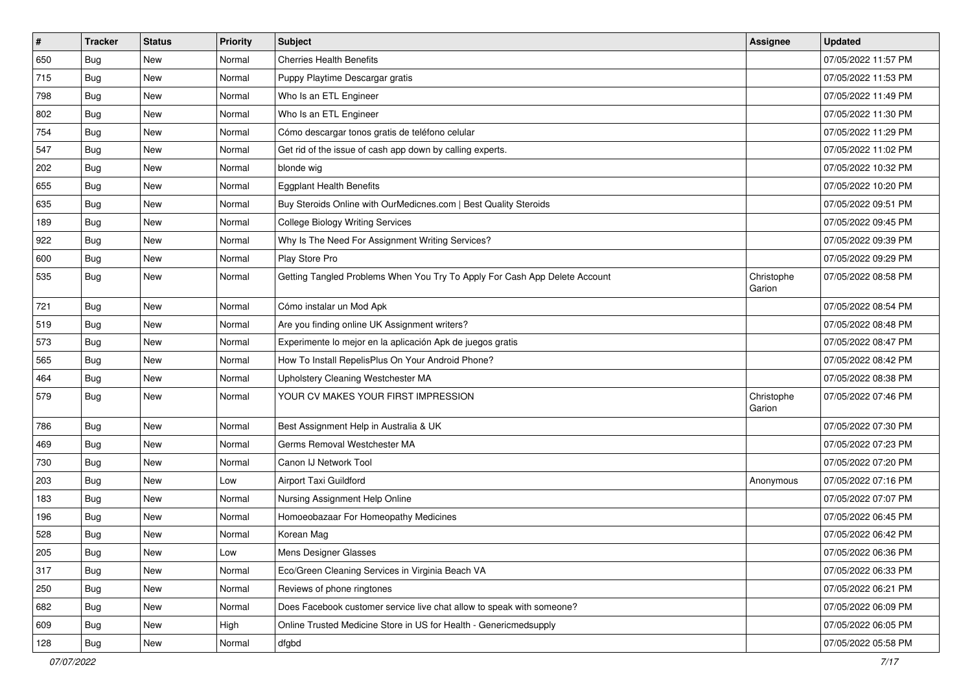| $\vert$ # | <b>Tracker</b> | <b>Status</b> | <b>Priority</b> | <b>Subject</b>                                                             | <b>Assignee</b>      | <b>Updated</b>      |
|-----------|----------------|---------------|-----------------|----------------------------------------------------------------------------|----------------------|---------------------|
| 650       | Bug            | New           | Normal          | <b>Cherries Health Benefits</b>                                            |                      | 07/05/2022 11:57 PM |
| 715       | Bug            | New           | Normal          | Puppy Playtime Descargar gratis                                            |                      | 07/05/2022 11:53 PM |
| 798       | Bug            | New           | Normal          | Who Is an ETL Engineer                                                     |                      | 07/05/2022 11:49 PM |
| 802       | Bug            | <b>New</b>    | Normal          | Who Is an ETL Engineer                                                     |                      | 07/05/2022 11:30 PM |
| 754       | Bug            | New           | Normal          | Cómo descargar tonos gratis de teléfono celular                            |                      | 07/05/2022 11:29 PM |
| 547       | Bug            | New           | Normal          | Get rid of the issue of cash app down by calling experts.                  |                      | 07/05/2022 11:02 PM |
| 202       | Bug            | New           | Normal          | blonde wig                                                                 |                      | 07/05/2022 10:32 PM |
| 655       | Bug            | New           | Normal          | <b>Eggplant Health Benefits</b>                                            |                      | 07/05/2022 10:20 PM |
| 635       | Bug            | New           | Normal          | Buy Steroids Online with OurMedicnes.com   Best Quality Steroids           |                      | 07/05/2022 09:51 PM |
| 189       | Bug            | New           | Normal          | <b>College Biology Writing Services</b>                                    |                      | 07/05/2022 09:45 PM |
| 922       | Bug            | New           | Normal          | Why Is The Need For Assignment Writing Services?                           |                      | 07/05/2022 09:39 PM |
| 600       | Bug            | New           | Normal          | Play Store Pro                                                             |                      | 07/05/2022 09:29 PM |
| 535       | <b>Bug</b>     | <b>New</b>    | Normal          | Getting Tangled Problems When You Try To Apply For Cash App Delete Account | Christophe<br>Garion | 07/05/2022 08:58 PM |
| 721       | Bug            | New           | Normal          | Cómo instalar un Mod Apk                                                   |                      | 07/05/2022 08:54 PM |
| 519       | Bug            | New           | Normal          | Are you finding online UK Assignment writers?                              |                      | 07/05/2022 08:48 PM |
| 573       | Bug            | New           | Normal          | Experimente lo mejor en la aplicación Apk de juegos gratis                 |                      | 07/05/2022 08:47 PM |
| 565       | Bug            | New           | Normal          | How To Install RepelisPlus On Your Android Phone?                          |                      | 07/05/2022 08:42 PM |
| 464       | <b>Bug</b>     | New           | Normal          | Upholstery Cleaning Westchester MA                                         |                      | 07/05/2022 08:38 PM |
| 579       | Bug            | New           | Normal          | YOUR CV MAKES YOUR FIRST IMPRESSION                                        | Christophe<br>Garion | 07/05/2022 07:46 PM |
| 786       | Bug            | New           | Normal          | Best Assignment Help in Australia & UK                                     |                      | 07/05/2022 07:30 PM |
| 469       | <b>Bug</b>     | <b>New</b>    | Normal          | Germs Removal Westchester MA                                               |                      | 07/05/2022 07:23 PM |
| 730       | Bug            | New           | Normal          | Canon IJ Network Tool                                                      |                      | 07/05/2022 07:20 PM |
| 203       | Bug            | New           | Low             | <b>Airport Taxi Guildford</b>                                              | Anonymous            | 07/05/2022 07:16 PM |
| 183       | Bug            | New           | Normal          | Nursing Assignment Help Online                                             |                      | 07/05/2022 07:07 PM |
| 196       | Bug            | New           | Normal          | Homoeobazaar For Homeopathy Medicines                                      |                      | 07/05/2022 06:45 PM |
| 528       | <b>Bug</b>     | New           | Normal          | Korean Mag                                                                 |                      | 07/05/2022 06:42 PM |
| 205       | Bug            | New           | Low             | Mens Designer Glasses                                                      |                      | 07/05/2022 06:36 PM |
| 317       | Bug            | New           | Normal          | Eco/Green Cleaning Services in Virginia Beach VA                           |                      | 07/05/2022 06:33 PM |
| 250       | Bug            | New           | Normal          | Reviews of phone ringtones                                                 |                      | 07/05/2022 06:21 PM |
| 682       | Bug            | New           | Normal          | Does Facebook customer service live chat allow to speak with someone?      |                      | 07/05/2022 06:09 PM |
| 609       | Bug            | New           | High            | Online Trusted Medicine Store in US for Health - Genericmedsupply          |                      | 07/05/2022 06:05 PM |
| 128       | Bug            | New           | Normal          | dfgbd                                                                      |                      | 07/05/2022 05:58 PM |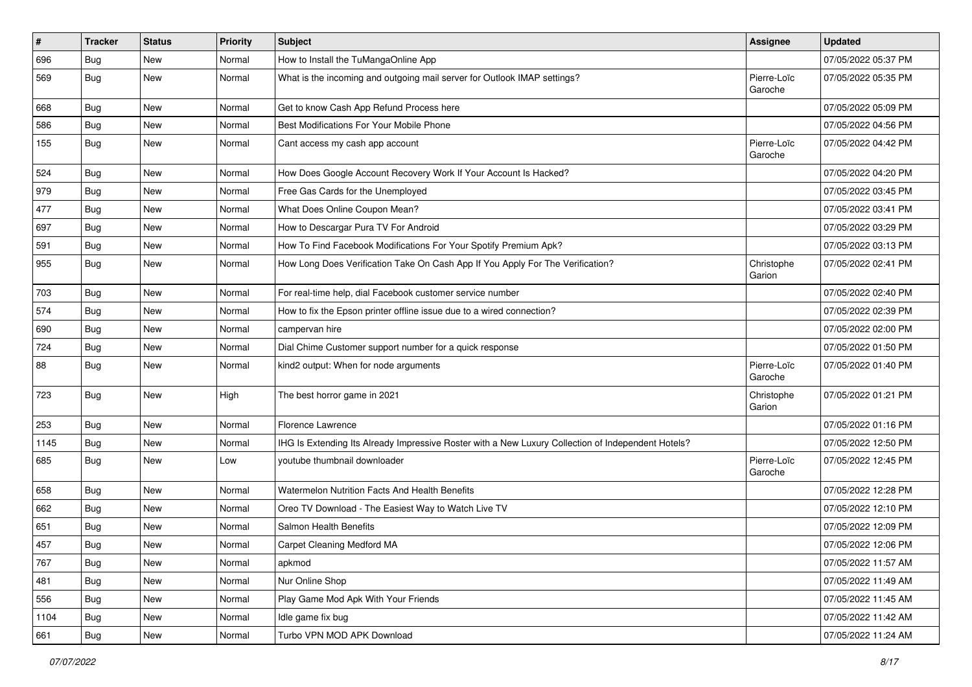| $\pmb{\#}$ | <b>Tracker</b> | <b>Status</b> | <b>Priority</b> | <b>Subject</b>                                                                                     | <b>Assignee</b>        | <b>Updated</b>      |
|------------|----------------|---------------|-----------------|----------------------------------------------------------------------------------------------------|------------------------|---------------------|
| 696        | Bug            | New           | Normal          | How to Install the TuMangaOnline App                                                               |                        | 07/05/2022 05:37 PM |
| 569        | Bug            | New           | Normal          | What is the incoming and outgoing mail server for Outlook IMAP settings?                           | Pierre-Loïc<br>Garoche | 07/05/2022 05:35 PM |
| 668        | Bug            | New           | Normal          | Get to know Cash App Refund Process here                                                           |                        | 07/05/2022 05:09 PM |
| 586        | <b>Bug</b>     | New           | Normal          | Best Modifications For Your Mobile Phone                                                           |                        | 07/05/2022 04:56 PM |
| 155        | Bug            | New           | Normal          | Cant access my cash app account                                                                    | Pierre-Loïc<br>Garoche | 07/05/2022 04:42 PM |
| 524        | <b>Bug</b>     | New           | Normal          | How Does Google Account Recovery Work If Your Account Is Hacked?                                   |                        | 07/05/2022 04:20 PM |
| 979        | Bug            | New           | Normal          | Free Gas Cards for the Unemployed                                                                  |                        | 07/05/2022 03:45 PM |
| 477        | Bug            | New           | Normal          | What Does Online Coupon Mean?                                                                      |                        | 07/05/2022 03:41 PM |
| 697        | Bug            | New           | Normal          | How to Descargar Pura TV For Android                                                               |                        | 07/05/2022 03:29 PM |
| 591        | Bug            | New           | Normal          | How To Find Facebook Modifications For Your Spotify Premium Apk?                                   |                        | 07/05/2022 03:13 PM |
| 955        | Bug            | New           | Normal          | How Long Does Verification Take On Cash App If You Apply For The Verification?                     | Christophe<br>Garion   | 07/05/2022 02:41 PM |
| 703        | <b>Bug</b>     | New           | Normal          | For real-time help, dial Facebook customer service number                                          |                        | 07/05/2022 02:40 PM |
| 574        | <b>Bug</b>     | New           | Normal          | How to fix the Epson printer offline issue due to a wired connection?                              |                        | 07/05/2022 02:39 PM |
| 690        | Bug            | New           | Normal          | campervan hire                                                                                     |                        | 07/05/2022 02:00 PM |
| 724        | Bug            | New           | Normal          | Dial Chime Customer support number for a quick response                                            |                        | 07/05/2022 01:50 PM |
| 88         | Bug            | New           | Normal          | kind2 output: When for node arguments                                                              | Pierre-Loïc<br>Garoche | 07/05/2022 01:40 PM |
| 723        | Bug            | New           | High            | The best horror game in 2021                                                                       | Christophe<br>Garion   | 07/05/2022 01:21 PM |
| 253        | Bug            | New           | Normal          | Florence Lawrence                                                                                  |                        | 07/05/2022 01:16 PM |
| 1145       | <b>Bug</b>     | New           | Normal          | IHG Is Extending Its Already Impressive Roster with a New Luxury Collection of Independent Hotels? |                        | 07/05/2022 12:50 PM |
| 685        | Bug            | New           | Low             | youtube thumbnail downloader                                                                       | Pierre-Loïc<br>Garoche | 07/05/2022 12:45 PM |
| 658        | Bug            | New           | Normal          | <b>Watermelon Nutrition Facts And Health Benefits</b>                                              |                        | 07/05/2022 12:28 PM |
| 662        | Bug            | New           | Normal          | Oreo TV Download - The Easiest Way to Watch Live TV                                                |                        | 07/05/2022 12:10 PM |
| 651        | Bug            | New           | Normal          | Salmon Health Benefits                                                                             |                        | 07/05/2022 12:09 PM |
| 457        | Bug            | New           | Normal          | Carpet Cleaning Medford MA                                                                         |                        | 07/05/2022 12:06 PM |
| 767        | Bug            | New           | Normal          | apkmod                                                                                             |                        | 07/05/2022 11:57 AM |
| 481        | Bug            | New           | Normal          | Nur Online Shop                                                                                    |                        | 07/05/2022 11:49 AM |
| 556        | Bug            | New           | Normal          | Play Game Mod Apk With Your Friends                                                                |                        | 07/05/2022 11:45 AM |
| 1104       | Bug            | New           | Normal          | Idle game fix bug                                                                                  |                        | 07/05/2022 11:42 AM |
| 661        | Bug            | New           | Normal          | Turbo VPN MOD APK Download                                                                         |                        | 07/05/2022 11:24 AM |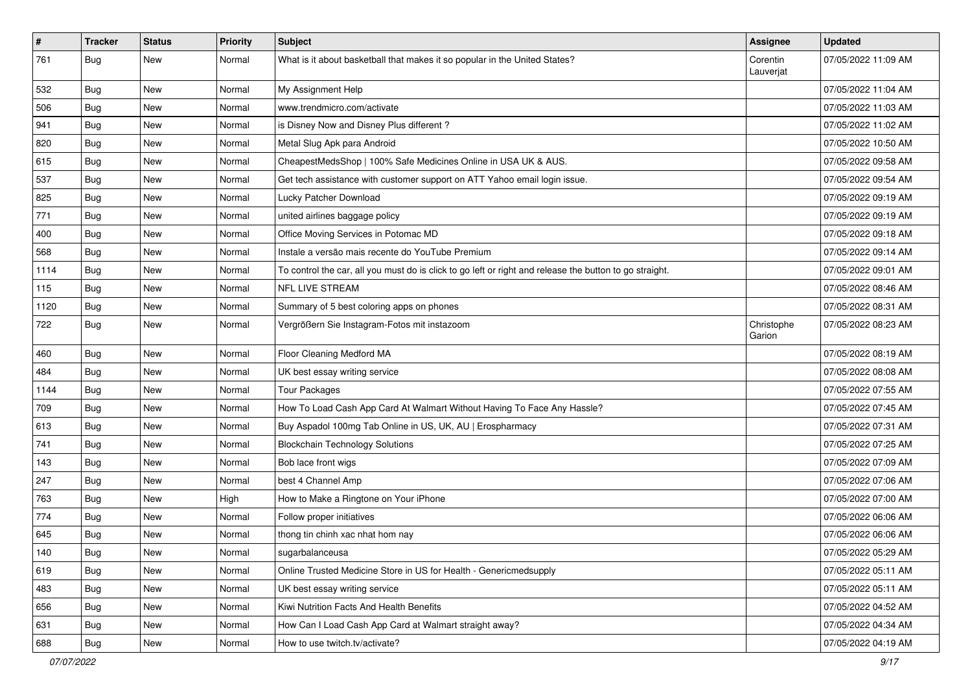| $\sharp$ | <b>Tracker</b> | <b>Status</b> | Priority | <b>Subject</b>                                                                                          | <b>Assignee</b>       | <b>Updated</b>      |
|----------|----------------|---------------|----------|---------------------------------------------------------------------------------------------------------|-----------------------|---------------------|
| 761      | <b>Bug</b>     | New           | Normal   | What is it about basketball that makes it so popular in the United States?                              | Corentin<br>Lauverjat | 07/05/2022 11:09 AM |
| 532      | <b>Bug</b>     | <b>New</b>    | Normal   | My Assignment Help                                                                                      |                       | 07/05/2022 11:04 AM |
| 506      | <b>Bug</b>     | <b>New</b>    | Normal   | www.trendmicro.com/activate                                                                             |                       | 07/05/2022 11:03 AM |
| 941      | Bug            | <b>New</b>    | Normal   | is Disney Now and Disney Plus different?                                                                |                       | 07/05/2022 11:02 AM |
| 820      | <b>Bug</b>     | New           | Normal   | Metal Slug Apk para Android                                                                             |                       | 07/05/2022 10:50 AM |
| 615      | <b>Bug</b>     | New           | Normal   | CheapestMedsShop   100% Safe Medicines Online in USA UK & AUS.                                          |                       | 07/05/2022 09:58 AM |
| 537      | <b>Bug</b>     | New           | Normal   | Get tech assistance with customer support on ATT Yahoo email login issue.                               |                       | 07/05/2022 09:54 AM |
| 825      | <b>Bug</b>     | <b>New</b>    | Normal   | Lucky Patcher Download                                                                                  |                       | 07/05/2022 09:19 AM |
| 771      | Bug            | <b>New</b>    | Normal   | united airlines baggage policy                                                                          |                       | 07/05/2022 09:19 AM |
| 400      | <b>Bug</b>     | New           | Normal   | Office Moving Services in Potomac MD                                                                    |                       | 07/05/2022 09:18 AM |
| 568      | Bug            | <b>New</b>    | Normal   | Instale a versão mais recente do YouTube Premium                                                        |                       | 07/05/2022 09:14 AM |
| 1114     | Bug            | <b>New</b>    | Normal   | To control the car, all you must do is click to go left or right and release the button to go straight. |                       | 07/05/2022 09:01 AM |
| 115      | Bug            | New           | Normal   | <b>NFL LIVE STREAM</b>                                                                                  |                       | 07/05/2022 08:46 AM |
| 1120     | Bug            | <b>New</b>    | Normal   | Summary of 5 best coloring apps on phones                                                               |                       | 07/05/2022 08:31 AM |
| 722      | <b>Bug</b>     | New           | Normal   | Vergrößern Sie Instagram-Fotos mit instazoom                                                            | Christophe<br>Garion  | 07/05/2022 08:23 AM |
| 460      | Bug            | <b>New</b>    | Normal   | Floor Cleaning Medford MA                                                                               |                       | 07/05/2022 08:19 AM |
| 484      | Bug            | New           | Normal   | UK best essay writing service                                                                           |                       | 07/05/2022 08:08 AM |
| 1144     | Bug            | <b>New</b>    | Normal   | <b>Tour Packages</b>                                                                                    |                       | 07/05/2022 07:55 AM |
| 709      | <b>Bug</b>     | <b>New</b>    | Normal   | How To Load Cash App Card At Walmart Without Having To Face Any Hassle?                                 |                       | 07/05/2022 07:45 AM |
| 613      | Bug            | <b>New</b>    | Normal   | Buy Aspadol 100mg Tab Online in US, UK, AU   Erospharmacy                                               |                       | 07/05/2022 07:31 AM |
| 741      | <b>Bug</b>     | <b>New</b>    | Normal   | <b>Blockchain Technology Solutions</b>                                                                  |                       | 07/05/2022 07:25 AM |
| 143      | <b>Bug</b>     | New           | Normal   | Bob lace front wigs                                                                                     |                       | 07/05/2022 07:09 AM |
| 247      | Bug            | <b>New</b>    | Normal   | best 4 Channel Amp                                                                                      |                       | 07/05/2022 07:06 AM |
| 763      | Bug            | <b>New</b>    | High     | How to Make a Ringtone on Your iPhone                                                                   |                       | 07/05/2022 07:00 AM |
| 774      | <b>Bug</b>     | New           | Normal   | Follow proper initiatives                                                                               |                       | 07/05/2022 06:06 AM |
| 645      | <b>Bug</b>     | <b>New</b>    | Normal   | thong tin chinh xac nhat hom nay                                                                        |                       | 07/05/2022 06:06 AM |
| 140      | Bug            | New           | Normal   | sugarbalanceusa                                                                                         |                       | 07/05/2022 05:29 AM |
| 619      | Bug            | New           | Normal   | Online Trusted Medicine Store in US for Health - Genericmedsupply                                       |                       | 07/05/2022 05:11 AM |
| 483      | Bug            | New           | Normal   | UK best essay writing service                                                                           |                       | 07/05/2022 05:11 AM |
| 656      | <b>Bug</b>     | New           | Normal   | Kiwi Nutrition Facts And Health Benefits                                                                |                       | 07/05/2022 04:52 AM |
| 631      | <b>Bug</b>     | New           | Normal   | How Can I Load Cash App Card at Walmart straight away?                                                  |                       | 07/05/2022 04:34 AM |
| 688      | Bug            | New           | Normal   | How to use twitch.tv/activate?                                                                          |                       | 07/05/2022 04:19 AM |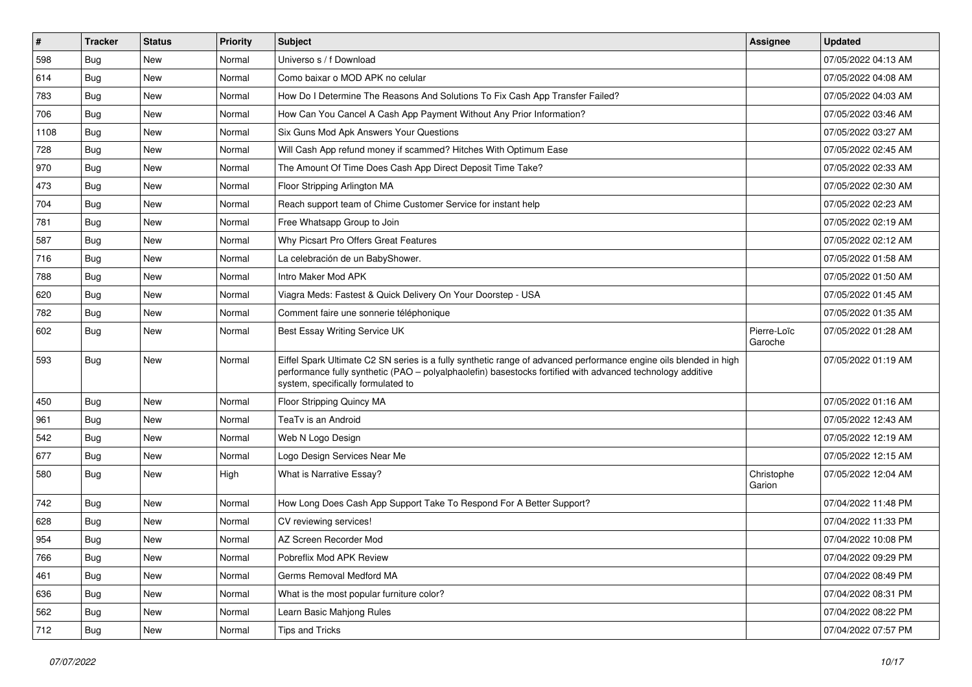| $\vert$ # | <b>Tracker</b> | <b>Status</b> | <b>Priority</b> | <b>Subject</b>                                                                                                                                                                                                                                                        | Assignee               | <b>Updated</b>      |
|-----------|----------------|---------------|-----------------|-----------------------------------------------------------------------------------------------------------------------------------------------------------------------------------------------------------------------------------------------------------------------|------------------------|---------------------|
| 598       | Bug            | New           | Normal          | Universo s / f Download                                                                                                                                                                                                                                               |                        | 07/05/2022 04:13 AM |
| 614       | Bug            | New           | Normal          | Como baixar o MOD APK no celular                                                                                                                                                                                                                                      |                        | 07/05/2022 04:08 AM |
| 783       | Bug            | New           | Normal          | How Do I Determine The Reasons And Solutions To Fix Cash App Transfer Failed?                                                                                                                                                                                         |                        | 07/05/2022 04:03 AM |
| 706       | Bug            | <b>New</b>    | Normal          | How Can You Cancel A Cash App Payment Without Any Prior Information?                                                                                                                                                                                                  |                        | 07/05/2022 03:46 AM |
| 1108      | Bug            | New           | Normal          | Six Guns Mod Apk Answers Your Questions                                                                                                                                                                                                                               |                        | 07/05/2022 03:27 AM |
| 728       | Bug            | <b>New</b>    | Normal          | Will Cash App refund money if scammed? Hitches With Optimum Ease                                                                                                                                                                                                      |                        | 07/05/2022 02:45 AM |
| 970       | Bug            | New           | Normal          | The Amount Of Time Does Cash App Direct Deposit Time Take?                                                                                                                                                                                                            |                        | 07/05/2022 02:33 AM |
| 473       | Bug            | New           | Normal          | Floor Stripping Arlington MA                                                                                                                                                                                                                                          |                        | 07/05/2022 02:30 AM |
| 704       | Bug            | New           | Normal          | Reach support team of Chime Customer Service for instant help                                                                                                                                                                                                         |                        | 07/05/2022 02:23 AM |
| 781       | Bug            | New           | Normal          | Free Whatsapp Group to Join                                                                                                                                                                                                                                           |                        | 07/05/2022 02:19 AM |
| 587       | Bug            | New           | Normal          | Why Picsart Pro Offers Great Features                                                                                                                                                                                                                                 |                        | 07/05/2022 02:12 AM |
| 716       | Bug            | New           | Normal          | La celebración de un BabyShower.                                                                                                                                                                                                                                      |                        | 07/05/2022 01:58 AM |
| 788       | Bug            | <b>New</b>    | Normal          | Intro Maker Mod APK                                                                                                                                                                                                                                                   |                        | 07/05/2022 01:50 AM |
| 620       | Bug            | New           | Normal          | Viagra Meds: Fastest & Quick Delivery On Your Doorstep - USA                                                                                                                                                                                                          |                        | 07/05/2022 01:45 AM |
| 782       | Bug            | <b>New</b>    | Normal          | Comment faire une sonnerie téléphonique                                                                                                                                                                                                                               |                        | 07/05/2022 01:35 AM |
| 602       | Bug            | New           | Normal          | Best Essay Writing Service UK                                                                                                                                                                                                                                         | Pierre-Loïc<br>Garoche | 07/05/2022 01:28 AM |
| 593       | Bug            | New           | Normal          | Eiffel Spark Ultimate C2 SN series is a fully synthetic range of advanced performance engine oils blended in high<br>performance fully synthetic (PAO - polyalphaolefin) basestocks fortified with advanced technology additive<br>system, specifically formulated to |                        | 07/05/2022 01:19 AM |
| 450       | Bug            | <b>New</b>    | Normal          | Floor Stripping Quincy MA                                                                                                                                                                                                                                             |                        | 07/05/2022 01:16 AM |
| 961       | Bug            | New           | Normal          | TeaTv is an Android                                                                                                                                                                                                                                                   |                        | 07/05/2022 12:43 AM |
| 542       | Bug            | <b>New</b>    | Normal          | Web N Logo Design                                                                                                                                                                                                                                                     |                        | 07/05/2022 12:19 AM |
| 677       | Bug            | New           | Normal          | Logo Design Services Near Me                                                                                                                                                                                                                                          |                        | 07/05/2022 12:15 AM |
| 580       | <b>Bug</b>     | New           | High            | <b>What is Narrative Essay?</b>                                                                                                                                                                                                                                       | Christophe<br>Garion   | 07/05/2022 12:04 AM |
| 742       | Bug            | New           | Normal          | How Long Does Cash App Support Take To Respond For A Better Support?                                                                                                                                                                                                  |                        | 07/04/2022 11:48 PM |
| 628       | Bug            | New           | Normal          | CV reviewing services!                                                                                                                                                                                                                                                |                        | 07/04/2022 11:33 PM |
| 954       | Bug            | <b>New</b>    | Normal          | AZ Screen Recorder Mod                                                                                                                                                                                                                                                |                        | 07/04/2022 10:08 PM |
| 766       | Bug            | New           | Normal          | Pobreflix Mod APK Review                                                                                                                                                                                                                                              |                        | 07/04/2022 09:29 PM |
| 461       | Bug            | New           | Normal          | Germs Removal Medford MA                                                                                                                                                                                                                                              |                        | 07/04/2022 08:49 PM |
| 636       | Bug            | New           | Normal          | What is the most popular furniture color?                                                                                                                                                                                                                             |                        | 07/04/2022 08:31 PM |
| 562       | Bug            | New           | Normal          | Learn Basic Mahjong Rules                                                                                                                                                                                                                                             |                        | 07/04/2022 08:22 PM |
| 712       | Bug            | New           | Normal          | Tips and Tricks                                                                                                                                                                                                                                                       |                        | 07/04/2022 07:57 PM |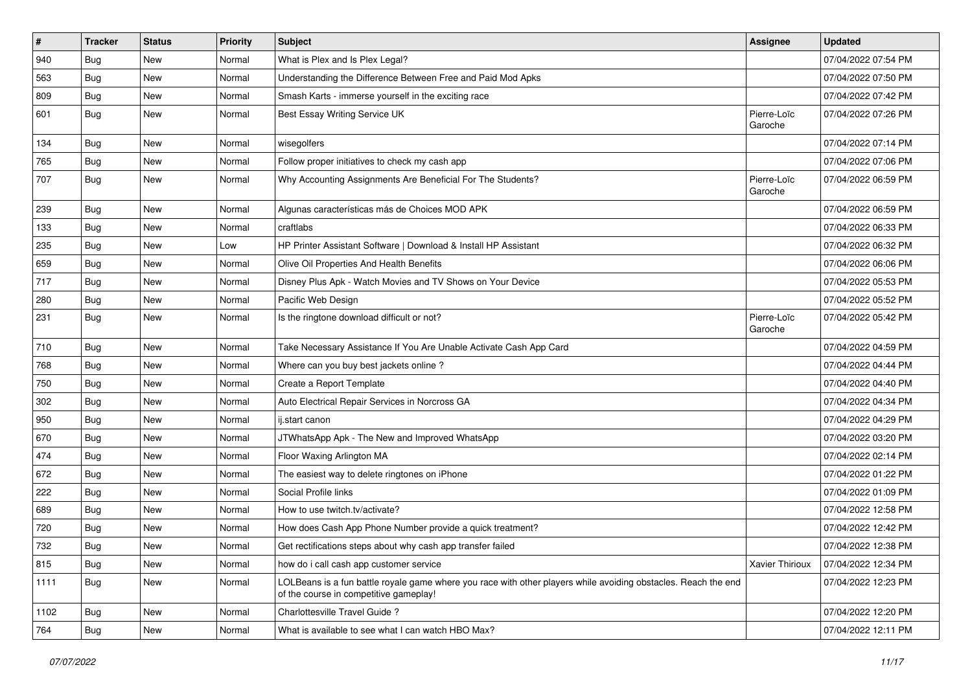| $\sharp$ | <b>Tracker</b> | <b>Status</b> | <b>Priority</b> | Subject                                                                                                                                                  | <b>Assignee</b>        | <b>Updated</b>      |
|----------|----------------|---------------|-----------------|----------------------------------------------------------------------------------------------------------------------------------------------------------|------------------------|---------------------|
| 940      | Bug            | New           | Normal          | What is Plex and Is Plex Legal?                                                                                                                          |                        | 07/04/2022 07:54 PM |
| 563      | Bug            | <b>New</b>    | Normal          | Understanding the Difference Between Free and Paid Mod Apks                                                                                              |                        | 07/04/2022 07:50 PM |
| 809      | Bug            | New           | Normal          | Smash Karts - immerse yourself in the exciting race                                                                                                      |                        | 07/04/2022 07:42 PM |
| 601      | <b>Bug</b>     | New           | Normal          | Best Essay Writing Service UK                                                                                                                            | Pierre-Loïc<br>Garoche | 07/04/2022 07:26 PM |
| 134      | Bug            | New           | Normal          | wisegolfers                                                                                                                                              |                        | 07/04/2022 07:14 PM |
| 765      | Bug            | New           | Normal          | Follow proper initiatives to check my cash app                                                                                                           |                        | 07/04/2022 07:06 PM |
| 707      | Bug            | New           | Normal          | Why Accounting Assignments Are Beneficial For The Students?                                                                                              | Pierre-Loïc<br>Garoche | 07/04/2022 06:59 PM |
| 239      | Bug            | New           | Normal          | Algunas características más de Choices MOD APK                                                                                                           |                        | 07/04/2022 06:59 PM |
| 133      | <b>Bug</b>     | New           | Normal          | craftlabs                                                                                                                                                |                        | 07/04/2022 06:33 PM |
| 235      | Bug            | New           | Low             | HP Printer Assistant Software   Download & Install HP Assistant                                                                                          |                        | 07/04/2022 06:32 PM |
| 659      | Bug            | <b>New</b>    | Normal          | Olive Oil Properties And Health Benefits                                                                                                                 |                        | 07/04/2022 06:06 PM |
| 717      | <b>Bug</b>     | New           | Normal          | Disney Plus Apk - Watch Movies and TV Shows on Your Device                                                                                               |                        | 07/04/2022 05:53 PM |
| 280      | Bug            | New           | Normal          | Pacific Web Design                                                                                                                                       |                        | 07/04/2022 05:52 PM |
| 231      | Bug            | New           | Normal          | Is the ringtone download difficult or not?                                                                                                               | Pierre-Loïc<br>Garoche | 07/04/2022 05:42 PM |
| 710      | Bug            | New           | Normal          | Take Necessary Assistance If You Are Unable Activate Cash App Card                                                                                       |                        | 07/04/2022 04:59 PM |
| 768      | <b>Bug</b>     | New           | Normal          | Where can you buy best jackets online?                                                                                                                   |                        | 07/04/2022 04:44 PM |
| 750      | Bug            | New           | Normal          | Create a Report Template                                                                                                                                 |                        | 07/04/2022 04:40 PM |
| 302      | Bug            | <b>New</b>    | Normal          | Auto Electrical Repair Services in Norcross GA                                                                                                           |                        | 07/04/2022 04:34 PM |
| 950      | <b>Bug</b>     | New           | Normal          | ij.start canon                                                                                                                                           |                        | 07/04/2022 04:29 PM |
| 670      | Bug            | New           | Normal          | JTWhatsApp Apk - The New and Improved WhatsApp                                                                                                           |                        | 07/04/2022 03:20 PM |
| 474      | <b>Bug</b>     | New           | Normal          | Floor Waxing Arlington MA                                                                                                                                |                        | 07/04/2022 02:14 PM |
| 672      | Bug            | New           | Normal          | The easiest way to delete ringtones on iPhone                                                                                                            |                        | 07/04/2022 01:22 PM |
| 222      | Bug            | New           | Normal          | Social Profile links                                                                                                                                     |                        | 07/04/2022 01:09 PM |
| 689      | <b>Bug</b>     | New           | Normal          | How to use twitch.tv/activate?                                                                                                                           |                        | 07/04/2022 12:58 PM |
| 720      | <b>Bug</b>     | New           | Normal          | How does Cash App Phone Number provide a quick treatment?                                                                                                |                        | 07/04/2022 12:42 PM |
| 732      | Bug            | New           | Normal          | Get rectifications steps about why cash app transfer failed                                                                                              |                        | 07/04/2022 12:38 PM |
| 815      | Bug            | New           | Normal          | how do i call cash app customer service                                                                                                                  | Xavier Thirioux        | 07/04/2022 12:34 PM |
| 1111     | <b>Bug</b>     | New           | Normal          | LOLBeans is a fun battle royale game where you race with other players while avoiding obstacles. Reach the end<br>of the course in competitive gameplay! |                        | 07/04/2022 12:23 PM |
| 1102     | <b>Bug</b>     | New           | Normal          | Charlottesville Travel Guide ?                                                                                                                           |                        | 07/04/2022 12:20 PM |
| 764      | <b>Bug</b>     | New           | Normal          | What is available to see what I can watch HBO Max?                                                                                                       |                        | 07/04/2022 12:11 PM |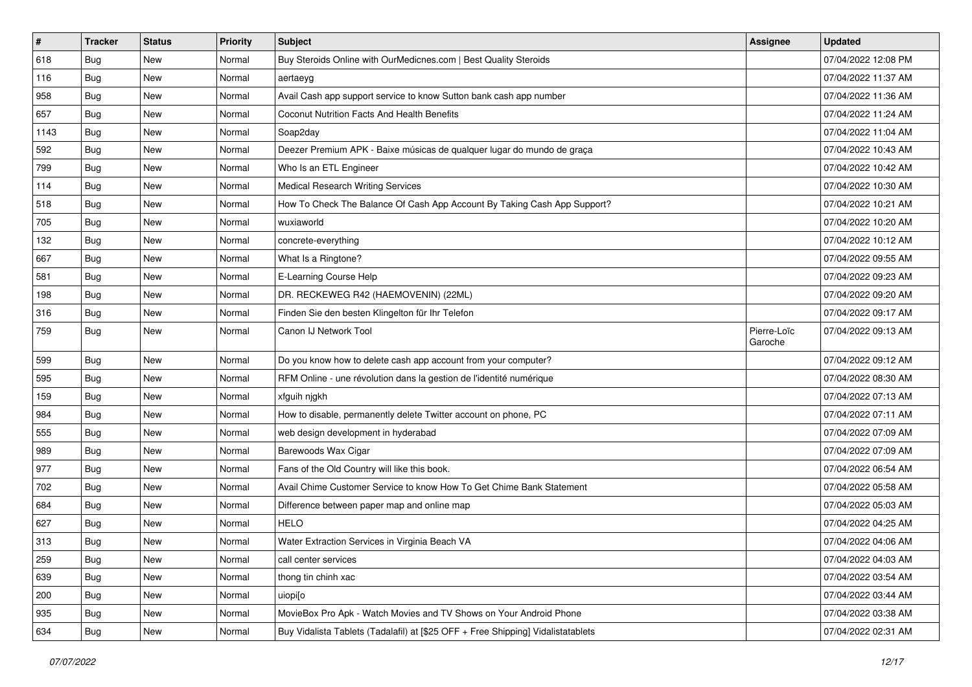| $\pmb{\#}$ | <b>Tracker</b> | <b>Status</b> | <b>Priority</b> | <b>Subject</b>                                                                   | <b>Assignee</b>        | <b>Updated</b>      |
|------------|----------------|---------------|-----------------|----------------------------------------------------------------------------------|------------------------|---------------------|
| 618        | Bug            | New           | Normal          | Buy Steroids Online with OurMedicnes.com   Best Quality Steroids                 |                        | 07/04/2022 12:08 PM |
| 116        | <b>Bug</b>     | New           | Normal          | aertaeyg                                                                         |                        | 07/04/2022 11:37 AM |
| 958        | Bug            | New           | Normal          | Avail Cash app support service to know Sutton bank cash app number               |                        | 07/04/2022 11:36 AM |
| 657        | Bug            | New           | Normal          | Coconut Nutrition Facts And Health Benefits                                      |                        | 07/04/2022 11:24 AM |
| 1143       | <b>Bug</b>     | New           | Normal          | Soap2day                                                                         |                        | 07/04/2022 11:04 AM |
| 592        | <b>Bug</b>     | New           | Normal          | Deezer Premium APK - Baixe músicas de qualquer lugar do mundo de graça           |                        | 07/04/2022 10:43 AM |
| 799        | <b>Bug</b>     | New           | Normal          | Who Is an ETL Engineer                                                           |                        | 07/04/2022 10:42 AM |
| 114        | <b>Bug</b>     | New           | Normal          | <b>Medical Research Writing Services</b>                                         |                        | 07/04/2022 10:30 AM |
| 518        | Bug            | New           | Normal          | How To Check The Balance Of Cash App Account By Taking Cash App Support?         |                        | 07/04/2022 10:21 AM |
| 705        | <b>Bug</b>     | New           | Normal          | wuxiaworld                                                                       |                        | 07/04/2022 10:20 AM |
| 132        | Bug            | New           | Normal          | concrete-everything                                                              |                        | 07/04/2022 10:12 AM |
| 667        | Bug            | New           | Normal          | What Is a Ringtone?                                                              |                        | 07/04/2022 09:55 AM |
| 581        | <b>Bug</b>     | New           | Normal          | E-Learning Course Help                                                           |                        | 07/04/2022 09:23 AM |
| 198        | Bug            | New           | Normal          | DR. RECKEWEG R42 (HAEMOVENIN) (22ML)                                             |                        | 07/04/2022 09:20 AM |
| 316        | <b>Bug</b>     | New           | Normal          | Finden Sie den besten Klingelton für Ihr Telefon                                 |                        | 07/04/2022 09:17 AM |
| 759        | <b>Bug</b>     | New           | Normal          | Canon IJ Network Tool                                                            | Pierre-Loïc<br>Garoche | 07/04/2022 09:13 AM |
| 599        | <b>Bug</b>     | New           | Normal          | Do you know how to delete cash app account from your computer?                   |                        | 07/04/2022 09:12 AM |
| 595        | <b>Bug</b>     | New           | Normal          | RFM Online - une révolution dans la gestion de l'identité numérique              |                        | 07/04/2022 08:30 AM |
| 159        | <b>Bug</b>     | New           | Normal          | xfguih njgkh                                                                     |                        | 07/04/2022 07:13 AM |
| 984        | Bug            | New           | Normal          | How to disable, permanently delete Twitter account on phone, PC                  |                        | 07/04/2022 07:11 AM |
| 555        | <b>Bug</b>     | New           | Normal          | web design development in hyderabad                                              |                        | 07/04/2022 07:09 AM |
| 989        | <b>Bug</b>     | New           | Normal          | Barewoods Wax Cigar                                                              |                        | 07/04/2022 07:09 AM |
| 977        | Bug            | New           | Normal          | Fans of the Old Country will like this book.                                     |                        | 07/04/2022 06:54 AM |
| 702        | Bug            | New           | Normal          | Avail Chime Customer Service to know How To Get Chime Bank Statement             |                        | 07/04/2022 05:58 AM |
| 684        | <b>Bug</b>     | New           | Normal          | Difference between paper map and online map                                      |                        | 07/04/2022 05:03 AM |
| 627        | Bug            | New           | Normal          | <b>HELO</b>                                                                      |                        | 07/04/2022 04:25 AM |
| 313        | <b>Bug</b>     | New           | Normal          | Water Extraction Services in Virginia Beach VA                                   |                        | 07/04/2022 04:06 AM |
| 259        | Bug            | New           | Normal          | call center services                                                             |                        | 07/04/2022 04:03 AM |
| 639        | <b>Bug</b>     | New           | Normal          | thong tin chinh xac                                                              |                        | 07/04/2022 03:54 AM |
| 200        | Bug            | New           | Normal          | uiopi[o                                                                          |                        | 07/04/2022 03:44 AM |
| 935        | <b>Bug</b>     | New           | Normal          | MovieBox Pro Apk - Watch Movies and TV Shows on Your Android Phone               |                        | 07/04/2022 03:38 AM |
| 634        | <b>Bug</b>     | New           | Normal          | Buy Vidalista Tablets (Tadalafil) at [\$25 OFF + Free Shipping] Vidalistatablets |                        | 07/04/2022 02:31 AM |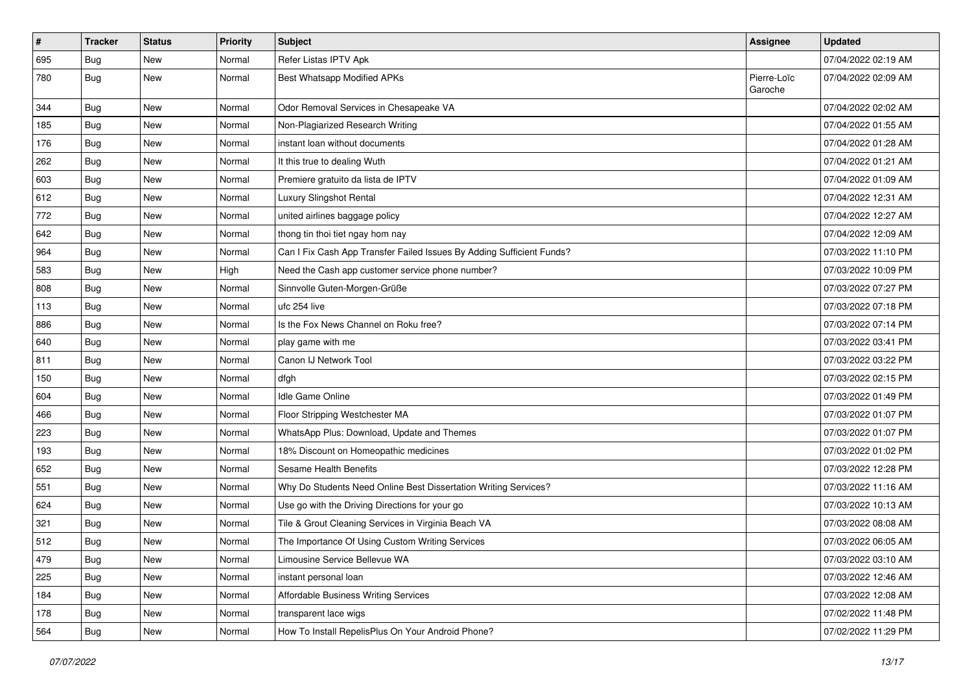| $\pmb{\#}$ | <b>Tracker</b> | <b>Status</b> | <b>Priority</b> | Subject                                                               | <b>Assignee</b>        | <b>Updated</b>      |
|------------|----------------|---------------|-----------------|-----------------------------------------------------------------------|------------------------|---------------------|
| 695        | <b>Bug</b>     | New           | Normal          | Refer Listas IPTV Apk                                                 |                        | 07/04/2022 02:19 AM |
| 780        | <b>Bug</b>     | New           | Normal          | Best Whatsapp Modified APKs                                           | Pierre-Loïc<br>Garoche | 07/04/2022 02:09 AM |
| 344        | Bug            | New           | Normal          | Odor Removal Services in Chesapeake VA                                |                        | 07/04/2022 02:02 AM |
| 185        | <b>Bug</b>     | New           | Normal          | Non-Plagiarized Research Writing                                      |                        | 07/04/2022 01:55 AM |
| 176        | <b>Bug</b>     | New           | Normal          | instant loan without documents                                        |                        | 07/04/2022 01:28 AM |
| 262        | <b>Bug</b>     | New           | Normal          | It this true to dealing Wuth                                          |                        | 07/04/2022 01:21 AM |
| 603        | <b>Bug</b>     | New           | Normal          | Premiere gratuito da lista de IPTV                                    |                        | 07/04/2022 01:09 AM |
| 612        | <b>Bug</b>     | New           | Normal          | Luxury Slingshot Rental                                               |                        | 07/04/2022 12:31 AM |
| 772        | <b>Bug</b>     | New           | Normal          | united airlines baggage policy                                        |                        | 07/04/2022 12:27 AM |
| 642        | <b>Bug</b>     | New           | Normal          | thong tin thoi tiet ngay hom nay                                      |                        | 07/04/2022 12:09 AM |
| 964        | Bug            | New           | Normal          | Can I Fix Cash App Transfer Failed Issues By Adding Sufficient Funds? |                        | 07/03/2022 11:10 PM |
| 583        | <b>Bug</b>     | New           | High            | Need the Cash app customer service phone number?                      |                        | 07/03/2022 10:09 PM |
| 808        | <b>Bug</b>     | New           | Normal          | Sinnvolle Guten-Morgen-Grüße                                          |                        | 07/03/2022 07:27 PM |
| 113        | <b>Bug</b>     | New           | Normal          | ufc 254 live                                                          |                        | 07/03/2022 07:18 PM |
| 886        | <b>Bug</b>     | New           | Normal          | Is the Fox News Channel on Roku free?                                 |                        | 07/03/2022 07:14 PM |
| 640        | <b>Bug</b>     | New           | Normal          | play game with me                                                     |                        | 07/03/2022 03:41 PM |
| 811        | <b>Bug</b>     | New           | Normal          | Canon IJ Network Tool                                                 |                        | 07/03/2022 03:22 PM |
| 150        | <b>Bug</b>     | New           | Normal          | dfgh                                                                  |                        | 07/03/2022 02:15 PM |
| 604        | <b>Bug</b>     | New           | Normal          | Idle Game Online                                                      |                        | 07/03/2022 01:49 PM |
| 466        | Bug            | New           | Normal          | Floor Stripping Westchester MA                                        |                        | 07/03/2022 01:07 PM |
| 223        | <b>Bug</b>     | New           | Normal          | WhatsApp Plus: Download, Update and Themes                            |                        | 07/03/2022 01:07 PM |
| 193        | <b>Bug</b>     | New           | Normal          | 18% Discount on Homeopathic medicines                                 |                        | 07/03/2022 01:02 PM |
| 652        | <b>Bug</b>     | New           | Normal          | Sesame Health Benefits                                                |                        | 07/03/2022 12:28 PM |
| 551        | <b>Bug</b>     | New           | Normal          | Why Do Students Need Online Best Dissertation Writing Services?       |                        | 07/03/2022 11:16 AM |
| 624        | <b>Bug</b>     | New           | Normal          | Use go with the Driving Directions for your go                        |                        | 07/03/2022 10:13 AM |
| 321        | <b>Bug</b>     | New           | Normal          | Tile & Grout Cleaning Services in Virginia Beach VA                   |                        | 07/03/2022 08:08 AM |
| 512        | Bug            | New           | Normal          | The Importance Of Using Custom Writing Services                       |                        | 07/03/2022 06:05 AM |
| 479        | Bug            | New           | Normal          | Limousine Service Bellevue WA                                         |                        | 07/03/2022 03:10 AM |
| 225        | <b>Bug</b>     | New           | Normal          | instant personal loan                                                 |                        | 07/03/2022 12:46 AM |
| 184        | Bug            | New           | Normal          | Affordable Business Writing Services                                  |                        | 07/03/2022 12:08 AM |
| 178        | <b>Bug</b>     | New           | Normal          | transparent lace wigs                                                 |                        | 07/02/2022 11:48 PM |
| 564        | <b>Bug</b>     | New           | Normal          | How To Install RepelisPlus On Your Android Phone?                     |                        | 07/02/2022 11:29 PM |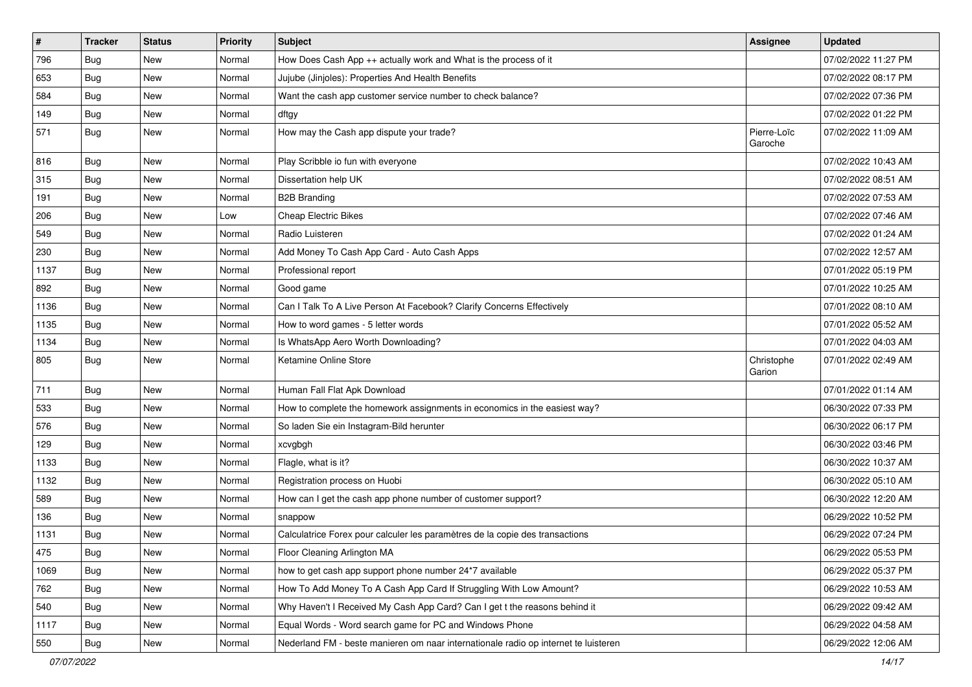| $\sharp$ | <b>Tracker</b> | <b>Status</b> | <b>Priority</b> | <b>Subject</b>                                                                      | <b>Assignee</b>        | <b>Updated</b>      |
|----------|----------------|---------------|-----------------|-------------------------------------------------------------------------------------|------------------------|---------------------|
| 796      | <b>Bug</b>     | New           | Normal          | How Does Cash App ++ actually work and What is the process of it                    |                        | 07/02/2022 11:27 PM |
| 653      | Bug            | <b>New</b>    | Normal          | Jujube (Jinjoles): Properties And Health Benefits                                   |                        | 07/02/2022 08:17 PM |
| 584      | Bug            | New           | Normal          | Want the cash app customer service number to check balance?                         |                        | 07/02/2022 07:36 PM |
| 149      | Bug            | <b>New</b>    | Normal          | dftgy                                                                               |                        | 07/02/2022 01:22 PM |
| 571      | Bug            | New           | Normal          | How may the Cash app dispute your trade?                                            | Pierre-Loïc<br>Garoche | 07/02/2022 11:09 AM |
| 816      | Bug            | New           | Normal          | Play Scribble io fun with everyone                                                  |                        | 07/02/2022 10:43 AM |
| 315      | Bug            | <b>New</b>    | Normal          | Dissertation help UK                                                                |                        | 07/02/2022 08:51 AM |
| 191      | <b>Bug</b>     | New           | Normal          | <b>B2B Branding</b>                                                                 |                        | 07/02/2022 07:53 AM |
| 206      | Bug            | <b>New</b>    | Low             | <b>Cheap Electric Bikes</b>                                                         |                        | 07/02/2022 07:46 AM |
| 549      | <b>Bug</b>     | New           | Normal          | Radio Luisteren                                                                     |                        | 07/02/2022 01:24 AM |
| 230      | Bug            | New           | Normal          | Add Money To Cash App Card - Auto Cash Apps                                         |                        | 07/02/2022 12:57 AM |
| 1137     | Bug            | <b>New</b>    | Normal          | Professional report                                                                 |                        | 07/01/2022 05:19 PM |
| 892      | <b>Bug</b>     | New           | Normal          | Good game                                                                           |                        | 07/01/2022 10:25 AM |
| 1136     | Bug            | <b>New</b>    | Normal          | Can I Talk To A Live Person At Facebook? Clarify Concerns Effectively               |                        | 07/01/2022 08:10 AM |
| 1135     | Bug            | New           | Normal          | How to word games - 5 letter words                                                  |                        | 07/01/2022 05:52 AM |
| 1134     | Bug            | <b>New</b>    | Normal          | Is WhatsApp Aero Worth Downloading?                                                 |                        | 07/01/2022 04:03 AM |
| 805      | <b>Bug</b>     | New           | Normal          | Ketamine Online Store                                                               | Christophe<br>Garion   | 07/01/2022 02:49 AM |
| 711      | Bug            | New           | Normal          | Human Fall Flat Apk Download                                                        |                        | 07/01/2022 01:14 AM |
| 533      | Bug            | <b>New</b>    | Normal          | How to complete the homework assignments in economics in the easiest way?           |                        | 06/30/2022 07:33 PM |
| 576      | Bug            | New           | Normal          | So laden Sie ein Instagram-Bild herunter                                            |                        | 06/30/2022 06:17 PM |
| 129      | Bug            | <b>New</b>    | Normal          | xcvgbgh                                                                             |                        | 06/30/2022 03:46 PM |
| 1133     | Bug            | New           | Normal          | Flagle, what is it?                                                                 |                        | 06/30/2022 10:37 AM |
| 1132     | <b>Bug</b>     | <b>New</b>    | Normal          | Registration process on Huobi                                                       |                        | 06/30/2022 05:10 AM |
| 589      | Bug            | New           | Normal          | How can I get the cash app phone number of customer support?                        |                        | 06/30/2022 12:20 AM |
| 136      | <b>Bug</b>     | New           | Normal          | snappow                                                                             |                        | 06/29/2022 10:52 PM |
| 1131     | <b>Bug</b>     | <b>New</b>    | Normal          | Calculatrice Forex pour calculer les paramètres de la copie des transactions        |                        | 06/29/2022 07:24 PM |
| 475      | <b>Bug</b>     | New           | Normal          | Floor Cleaning Arlington MA                                                         |                        | 06/29/2022 05:53 PM |
| 1069     | <b>Bug</b>     | New           | Normal          | how to get cash app support phone number 24*7 available                             |                        | 06/29/2022 05:37 PM |
| 762      | Bug            | New           | Normal          | How To Add Money To A Cash App Card If Struggling With Low Amount?                  |                        | 06/29/2022 10:53 AM |
| 540      | <b>Bug</b>     | New           | Normal          | Why Haven't I Received My Cash App Card? Can I get t the reasons behind it          |                        | 06/29/2022 09:42 AM |
| 1117     | <b>Bug</b>     | New           | Normal          | Equal Words - Word search game for PC and Windows Phone                             |                        | 06/29/2022 04:58 AM |
| 550      | <b>Bug</b>     | New           | Normal          | Nederland FM - beste manieren om naar internationale radio op internet te luisteren |                        | 06/29/2022 12:06 AM |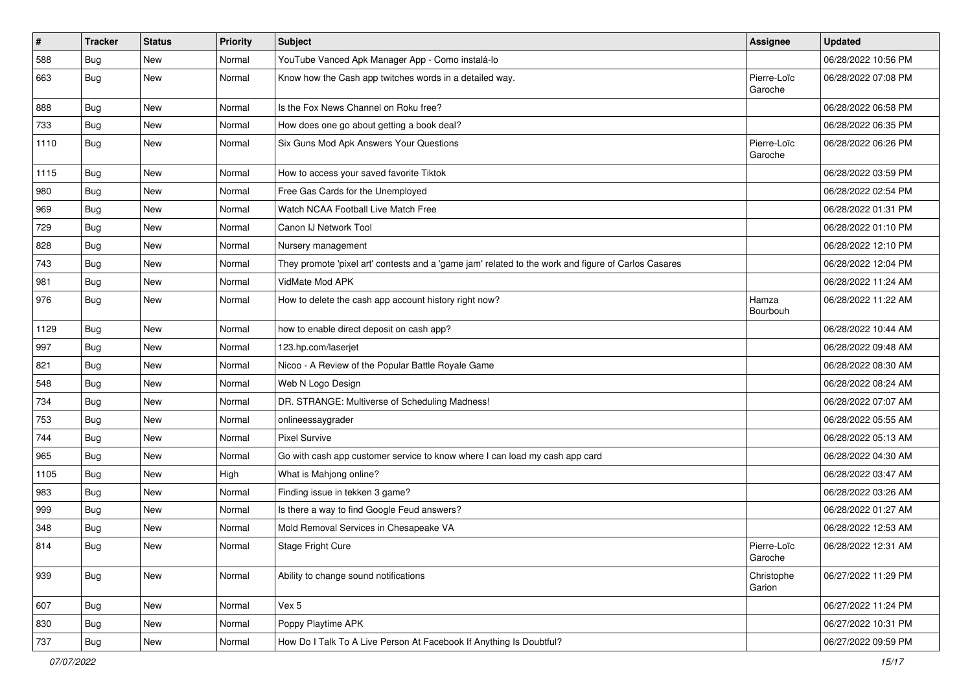| $\pmb{\#}$ | <b>Tracker</b> | <b>Status</b> | <b>Priority</b> | Subject                                                                                             | <b>Assignee</b>        | <b>Updated</b>      |
|------------|----------------|---------------|-----------------|-----------------------------------------------------------------------------------------------------|------------------------|---------------------|
| 588        | Bug            | New           | Normal          | YouTube Vanced Apk Manager App - Como instalá-lo                                                    |                        | 06/28/2022 10:56 PM |
| 663        | Bug            | New           | Normal          | Know how the Cash app twitches words in a detailed way.                                             | Pierre-Loïc<br>Garoche | 06/28/2022 07:08 PM |
| 888        | Bug            | New           | Normal          | Is the Fox News Channel on Roku free?                                                               |                        | 06/28/2022 06:58 PM |
| 733        | <b>Bug</b>     | New           | Normal          | How does one go about getting a book deal?                                                          |                        | 06/28/2022 06:35 PM |
| 1110       | Bug            | New           | Normal          | Six Guns Mod Apk Answers Your Questions                                                             | Pierre-Loïc<br>Garoche | 06/28/2022 06:26 PM |
| 1115       | <b>Bug</b>     | <b>New</b>    | Normal          | How to access your saved favorite Tiktok                                                            |                        | 06/28/2022 03:59 PM |
| 980        | Bug            | New           | Normal          | Free Gas Cards for the Unemployed                                                                   |                        | 06/28/2022 02:54 PM |
| 969        | <b>Bug</b>     | New           | Normal          | Watch NCAA Football Live Match Free                                                                 |                        | 06/28/2022 01:31 PM |
| 729        | Bug            | New           | Normal          | Canon IJ Network Tool                                                                               |                        | 06/28/2022 01:10 PM |
| 828        | Bug            | New           | Normal          | Nursery management                                                                                  |                        | 06/28/2022 12:10 PM |
| 743        | <b>Bug</b>     | New           | Normal          | They promote 'pixel art' contests and a 'game jam' related to the work and figure of Carlos Casares |                        | 06/28/2022 12:04 PM |
| 981        | Bug            | New           | Normal          | VidMate Mod APK                                                                                     |                        | 06/28/2022 11:24 AM |
| 976        | Bug            | New           | Normal          | How to delete the cash app account history right now?                                               | Hamza<br>Bourbouh      | 06/28/2022 11:22 AM |
| 1129       | Bug            | <b>New</b>    | Normal          | how to enable direct deposit on cash app?                                                           |                        | 06/28/2022 10:44 AM |
| 997        | <b>Bug</b>     | New           | Normal          | 123.hp.com/laserjet                                                                                 |                        | 06/28/2022 09:48 AM |
| 821        | Bug            | New           | Normal          | Nicoo - A Review of the Popular Battle Royale Game                                                  |                        | 06/28/2022 08:30 AM |
| 548        | Bug            | New           | Normal          | Web N Logo Design                                                                                   |                        | 06/28/2022 08:24 AM |
| 734        | <b>Bug</b>     | New           | Normal          | DR. STRANGE: Multiverse of Scheduling Madness!                                                      |                        | 06/28/2022 07:07 AM |
| 753        | Bug            | New           | Normal          | onlineessaygrader                                                                                   |                        | 06/28/2022 05:55 AM |
| 744        | Bug            | New           | Normal          | <b>Pixel Survive</b>                                                                                |                        | 06/28/2022 05:13 AM |
| 965        | Bug            | New           | Normal          | Go with cash app customer service to know where I can load my cash app card                         |                        | 06/28/2022 04:30 AM |
| 1105       | Bug            | New           | High            | What is Mahjong online?                                                                             |                        | 06/28/2022 03:47 AM |
| 983        | <b>Bug</b>     | New           | Normal          | Finding issue in tekken 3 game?                                                                     |                        | 06/28/2022 03:26 AM |
| 999        | Bug            | New           | Normal          | Is there a way to find Google Feud answers?                                                         |                        | 06/28/2022 01:27 AM |
| 348        | Bug            | New           | Normal          | Mold Removal Services in Chesapeake VA                                                              |                        | 06/28/2022 12:53 AM |
| 814        | Bug            | New           | Normal          | Stage Fright Cure                                                                                   | Pierre-Loïc<br>Garoche | 06/28/2022 12:31 AM |
| 939        | <b>Bug</b>     | New           | Normal          | Ability to change sound notifications                                                               | Christophe<br>Garion   | 06/27/2022 11:29 PM |
| 607        | <b>Bug</b>     | New           | Normal          | Vex 5                                                                                               |                        | 06/27/2022 11:24 PM |
| 830        | Bug            | New           | Normal          | Poppy Playtime APK                                                                                  |                        | 06/27/2022 10:31 PM |
| 737        | Bug            | New           | Normal          | How Do I Talk To A Live Person At Facebook If Anything Is Doubtful?                                 |                        | 06/27/2022 09:59 PM |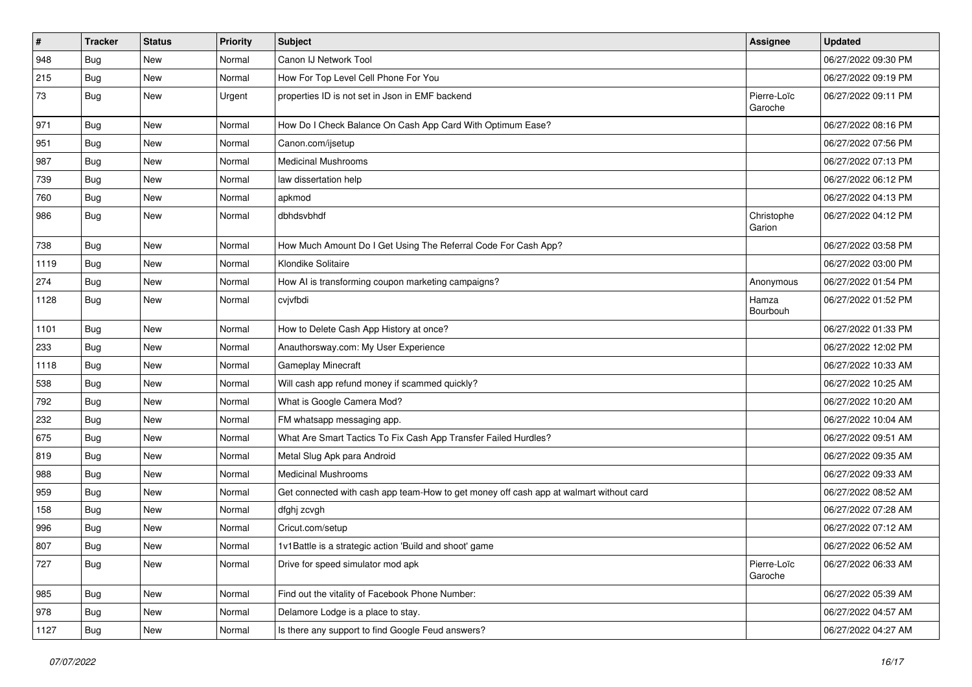| $\vert$ # | Tracker    | <b>Status</b> | <b>Priority</b> | <b>Subject</b>                                                                         | Assignee               | <b>Updated</b>      |
|-----------|------------|---------------|-----------------|----------------------------------------------------------------------------------------|------------------------|---------------------|
| 948       | Bug        | New           | Normal          | Canon IJ Network Tool                                                                  |                        | 06/27/2022 09:30 PM |
| 215       | Bug        | New           | Normal          | How For Top Level Cell Phone For You                                                   |                        | 06/27/2022 09:19 PM |
| 73        | <b>Bug</b> | New           | Urgent          | properties ID is not set in Json in EMF backend                                        | Pierre-Loïc<br>Garoche | 06/27/2022 09:11 PM |
| 971       | Bug        | New           | Normal          | How Do I Check Balance On Cash App Card With Optimum Ease?                             |                        | 06/27/2022 08:16 PM |
| 951       | Bug        | New           | Normal          | Canon.com/ijsetup                                                                      |                        | 06/27/2022 07:56 PM |
| 987       | Bug        | New           | Normal          | <b>Medicinal Mushrooms</b>                                                             |                        | 06/27/2022 07:13 PM |
| 739       | Bug        | New           | Normal          | law dissertation help                                                                  |                        | 06/27/2022 06:12 PM |
| 760       | Bug        | New           | Normal          | apkmod                                                                                 |                        | 06/27/2022 04:13 PM |
| 986       | <b>Bug</b> | New           | Normal          | dbhdsvbhdf                                                                             | Christophe<br>Garion   | 06/27/2022 04:12 PM |
| 738       | Bug        | New           | Normal          | How Much Amount Do I Get Using The Referral Code For Cash App?                         |                        | 06/27/2022 03:58 PM |
| 1119      | Bug        | New           | Normal          | Klondike Solitaire                                                                     |                        | 06/27/2022 03:00 PM |
| 274       | Bug        | New           | Normal          | How AI is transforming coupon marketing campaigns?                                     | Anonymous              | 06/27/2022 01:54 PM |
| 1128      | <b>Bug</b> | New           | Normal          | cvjvfbdi                                                                               | Hamza<br>Bourbouh      | 06/27/2022 01:52 PM |
| 1101      | Bug        | New           | Normal          | How to Delete Cash App History at once?                                                |                        | 06/27/2022 01:33 PM |
| 233       | Bug        | <b>New</b>    | Normal          | Anauthorsway.com: My User Experience                                                   |                        | 06/27/2022 12:02 PM |
| 1118      | Bug        | New           | Normal          | Gameplay Minecraft                                                                     |                        | 06/27/2022 10:33 AM |
| 538       | Bug        | New           | Normal          | Will cash app refund money if scammed quickly?                                         |                        | 06/27/2022 10:25 AM |
| 792       | Bug        | New           | Normal          | What is Google Camera Mod?                                                             |                        | 06/27/2022 10:20 AM |
| 232       | Bug        | New           | Normal          | FM whatsapp messaging app.                                                             |                        | 06/27/2022 10:04 AM |
| 675       | Bug        | New           | Normal          | What Are Smart Tactics To Fix Cash App Transfer Failed Hurdles?                        |                        | 06/27/2022 09:51 AM |
| 819       | Bug        | New           | Normal          | Metal Slug Apk para Android                                                            |                        | 06/27/2022 09:35 AM |
| 988       | Bug        | New           | Normal          | <b>Medicinal Mushrooms</b>                                                             |                        | 06/27/2022 09:33 AM |
| 959       | Bug        | New           | Normal          | Get connected with cash app team-How to get money off cash app at walmart without card |                        | 06/27/2022 08:52 AM |
| 158       | Bug        | New           | Normal          | dfghj zcvgh                                                                            |                        | 06/27/2022 07:28 AM |
| 996       | Bug        | New           | Normal          | Cricut.com/setup                                                                       |                        | 06/27/2022 07:12 AM |
| 807       | Bug        | New           | Normal          | 1v1Battle is a strategic action 'Build and shoot' game                                 |                        | 06/27/2022 06:52 AM |
| 727       | Bug        | New           | Normal          | Drive for speed simulator mod apk                                                      | Pierre-Loïc<br>Garoche | 06/27/2022 06:33 AM |
| 985       | Bug        | New           | Normal          | Find out the vitality of Facebook Phone Number:                                        |                        | 06/27/2022 05:39 AM |
| 978       | Bug        | New           | Normal          | Delamore Lodge is a place to stay.                                                     |                        | 06/27/2022 04:57 AM |
| 1127      | Bug        | New           | Normal          | Is there any support to find Google Feud answers?                                      |                        | 06/27/2022 04:27 AM |